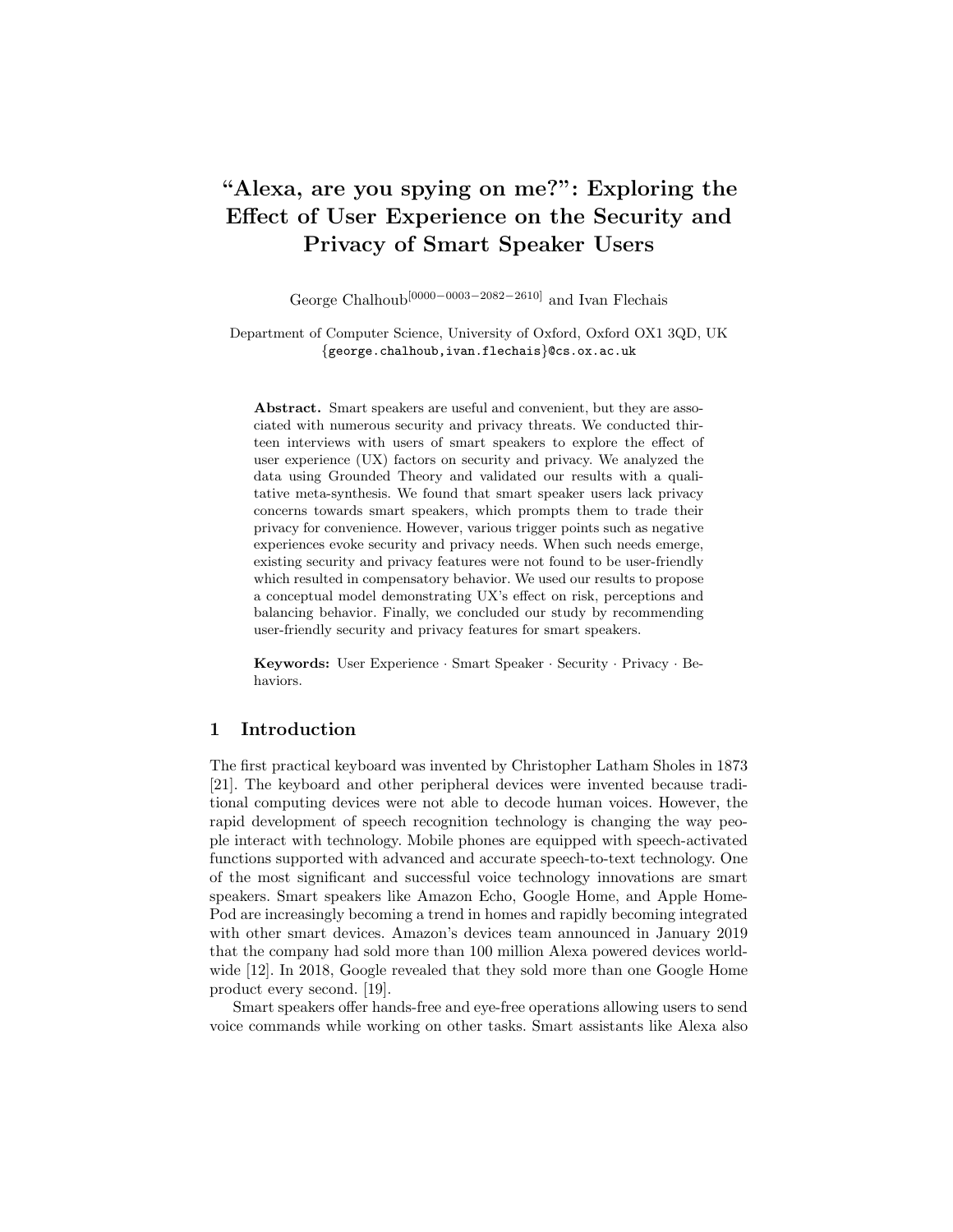# "Alexa, are you spying on me?": Exploring the Effect of User Experience on the Security and Privacy of Smart Speaker Users

George Chalhoub[0000−0003−2082−2610] and Ivan Flechais

Department of Computer Science, University of Oxford, Oxford OX1 3QD, UK {george.chalhoub,ivan.flechais}@cs.ox.ac.uk

Abstract. Smart speakers are useful and convenient, but they are associated with numerous security and privacy threats. We conducted thirteen interviews with users of smart speakers to explore the effect of user experience (UX) factors on security and privacy. We analyzed the data using Grounded Theory and validated our results with a qualitative meta-synthesis. We found that smart speaker users lack privacy concerns towards smart speakers, which prompts them to trade their privacy for convenience. However, various trigger points such as negative experiences evoke security and privacy needs. When such needs emerge, existing security and privacy features were not found to be user-friendly which resulted in compensatory behavior. We used our results to propose a conceptual model demonstrating UX's effect on risk, perceptions and balancing behavior. Finally, we concluded our study by recommending user-friendly security and privacy features for smart speakers.

Keywords: User Experience · Smart Speaker · Security · Privacy · Behaviors.

# 1 Introduction

The first practical keyboard was invented by Christopher Latham Sholes in 1873 [21]. The keyboard and other peripheral devices were invented because traditional computing devices were not able to decode human voices. However, the rapid development of speech recognition technology is changing the way people interact with technology. Mobile phones are equipped with speech-activated functions supported with advanced and accurate speech-to-text technology. One of the most significant and successful voice technology innovations are smart speakers. Smart speakers like Amazon Echo, Google Home, and Apple Home-Pod are increasingly becoming a trend in homes and rapidly becoming integrated with other smart devices. Amazon's devices team announced in January 2019 that the company had sold more than 100 million Alexa powered devices worldwide [12]. In 2018, Google revealed that they sold more than one Google Home product every second. [19].

Smart speakers offer hands-free and eye-free operations allowing users to send voice commands while working on other tasks. Smart assistants like Alexa also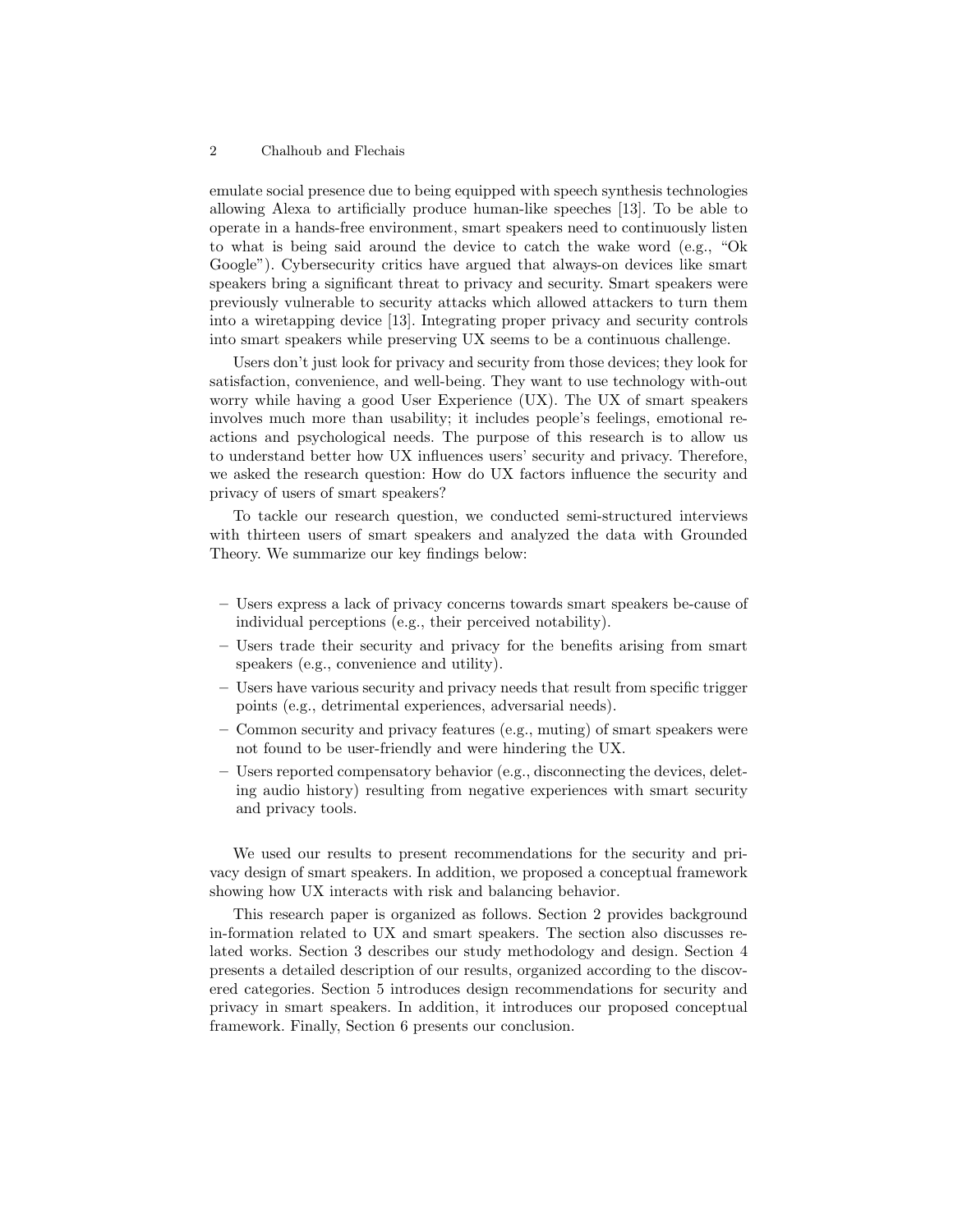emulate social presence due to being equipped with speech synthesis technologies allowing Alexa to artificially produce human-like speeches [13]. To be able to operate in a hands-free environment, smart speakers need to continuously listen to what is being said around the device to catch the wake word (e.g., "Ok Google"). Cybersecurity critics have argued that always-on devices like smart speakers bring a significant threat to privacy and security. Smart speakers were previously vulnerable to security attacks which allowed attackers to turn them into a wiretapping device [13]. Integrating proper privacy and security controls into smart speakers while preserving UX seems to be a continuous challenge.

Users don't just look for privacy and security from those devices; they look for satisfaction, convenience, and well-being. They want to use technology with-out worry while having a good User Experience (UX). The UX of smart speakers involves much more than usability; it includes people's feelings, emotional reactions and psychological needs. The purpose of this research is to allow us to understand better how UX influences users' security and privacy. Therefore, we asked the research question: How do UX factors influence the security and privacy of users of smart speakers?

To tackle our research question, we conducted semi-structured interviews with thirteen users of smart speakers and analyzed the data with Grounded Theory. We summarize our key findings below:

- Users express a lack of privacy concerns towards smart speakers be-cause of individual perceptions (e.g., their perceived notability).
- Users trade their security and privacy for the benefits arising from smart speakers (e.g., convenience and utility).
- Users have various security and privacy needs that result from specific trigger points (e.g., detrimental experiences, adversarial needs).
- Common security and privacy features (e.g., muting) of smart speakers were not found to be user-friendly and were hindering the UX.
- Users reported compensatory behavior (e.g., disconnecting the devices, deleting audio history) resulting from negative experiences with smart security and privacy tools.

We used our results to present recommendations for the security and privacy design of smart speakers. In addition, we proposed a conceptual framework showing how UX interacts with risk and balancing behavior.

This research paper is organized as follows. Section 2 provides background in-formation related to UX and smart speakers. The section also discusses related works. Section 3 describes our study methodology and design. Section 4 presents a detailed description of our results, organized according to the discovered categories. Section 5 introduces design recommendations for security and privacy in smart speakers. In addition, it introduces our proposed conceptual framework. Finally, Section 6 presents our conclusion.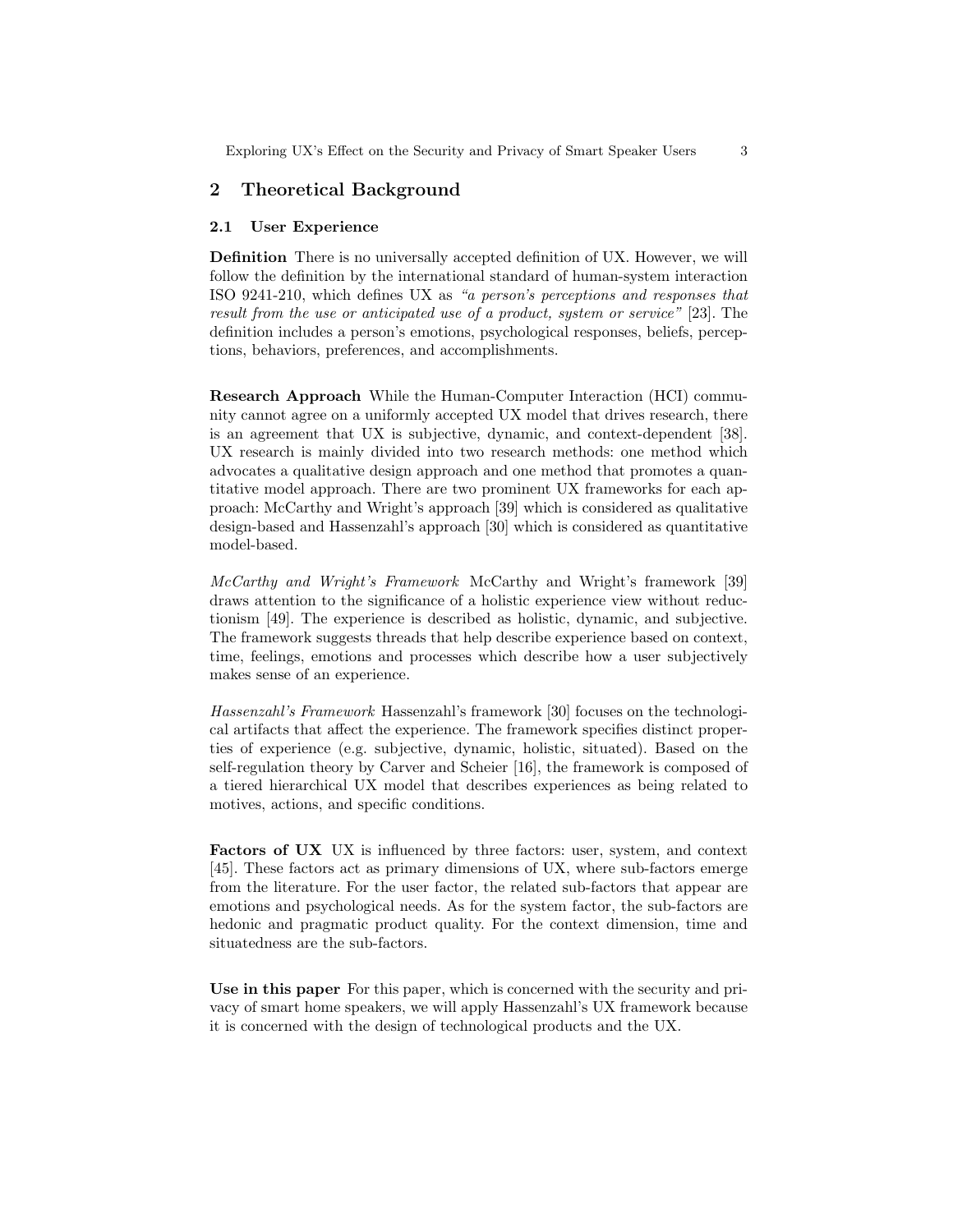# 2 Theoretical Background

# 2.1 User Experience

Definition There is no universally accepted definition of UX. However, we will follow the definition by the international standard of human-system interaction ISO 9241-210, which defines UX as "a person's perceptions and responses that result from the use or anticipated use of a product, system or service" [23]. The definition includes a person's emotions, psychological responses, beliefs, perceptions, behaviors, preferences, and accomplishments.

Research Approach While the Human-Computer Interaction (HCI) community cannot agree on a uniformly accepted UX model that drives research, there is an agreement that UX is subjective, dynamic, and context-dependent [38]. UX research is mainly divided into two research methods: one method which advocates a qualitative design approach and one method that promotes a quantitative model approach. There are two prominent UX frameworks for each approach: McCarthy and Wright's approach [39] which is considered as qualitative design-based and Hassenzahl's approach [30] which is considered as quantitative model-based.

McCarthy and Wright's Framework McCarthy and Wright's framework [39] draws attention to the significance of a holistic experience view without reductionism [49]. The experience is described as holistic, dynamic, and subjective. The framework suggests threads that help describe experience based on context, time, feelings, emotions and processes which describe how a user subjectively makes sense of an experience.

Hassenzahl's Framework Hassenzahl's framework [30] focuses on the technological artifacts that affect the experience. The framework specifies distinct properties of experience (e.g. subjective, dynamic, holistic, situated). Based on the self-regulation theory by Carver and Scheier [16], the framework is composed of a tiered hierarchical UX model that describes experiences as being related to motives, actions, and specific conditions.

Factors of UX UX is influenced by three factors: user, system, and context [45]. These factors act as primary dimensions of UX, where sub-factors emerge from the literature. For the user factor, the related sub-factors that appear are emotions and psychological needs. As for the system factor, the sub-factors are hedonic and pragmatic product quality. For the context dimension, time and situatedness are the sub-factors.

Use in this paper For this paper, which is concerned with the security and privacy of smart home speakers, we will apply Hassenzahl's UX framework because it is concerned with the design of technological products and the UX.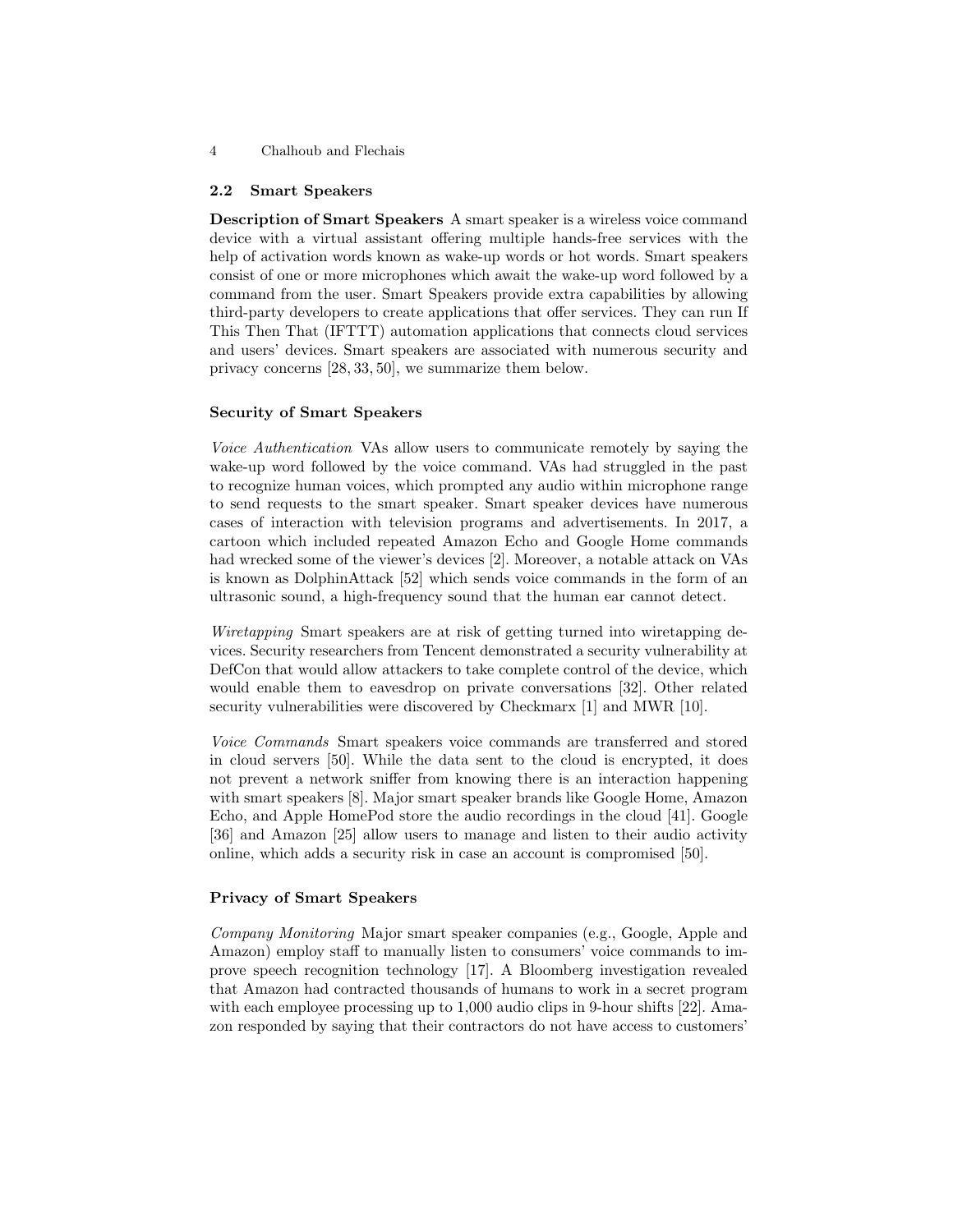### 2.2 Smart Speakers

Description of Smart Speakers A smart speaker is a wireless voice command device with a virtual assistant offering multiple hands-free services with the help of activation words known as wake-up words or hot words. Smart speakers consist of one or more microphones which await the wake-up word followed by a command from the user. Smart Speakers provide extra capabilities by allowing third-party developers to create applications that offer services. They can run If This Then That (IFTTT) automation applications that connects cloud services and users' devices. Smart speakers are associated with numerous security and privacy concerns [28, 33, 50], we summarize them below.

# Security of Smart Speakers

Voice Authentication VAs allow users to communicate remotely by saying the wake-up word followed by the voice command. VAs had struggled in the past to recognize human voices, which prompted any audio within microphone range to send requests to the smart speaker. Smart speaker devices have numerous cases of interaction with television programs and advertisements. In 2017, a cartoon which included repeated Amazon Echo and Google Home commands had wrecked some of the viewer's devices [2]. Moreover, a notable attack on VAs is known as DolphinAttack [52] which sends voice commands in the form of an ultrasonic sound, a high-frequency sound that the human ear cannot detect.

Wiretapping Smart speakers are at risk of getting turned into wiretapping devices. Security researchers from Tencent demonstrated a security vulnerability at DefCon that would allow attackers to take complete control of the device, which would enable them to eavesdrop on private conversations [32]. Other related security vulnerabilities were discovered by Checkmarx [1] and MWR [10].

Voice Commands Smart speakers voice commands are transferred and stored in cloud servers [50]. While the data sent to the cloud is encrypted, it does not prevent a network sniffer from knowing there is an interaction happening with smart speakers [8]. Major smart speaker brands like Google Home, Amazon Echo, and Apple HomePod store the audio recordings in the cloud [41]. Google [36] and Amazon [25] allow users to manage and listen to their audio activity online, which adds a security risk in case an account is compromised [50].

# Privacy of Smart Speakers

Company Monitoring Major smart speaker companies (e.g., Google, Apple and Amazon) employ staff to manually listen to consumers' voice commands to improve speech recognition technology [17]. A Bloomberg investigation revealed that Amazon had contracted thousands of humans to work in a secret program with each employee processing up to 1,000 audio clips in 9-hour shifts [22]. Amazon responded by saying that their contractors do not have access to customers'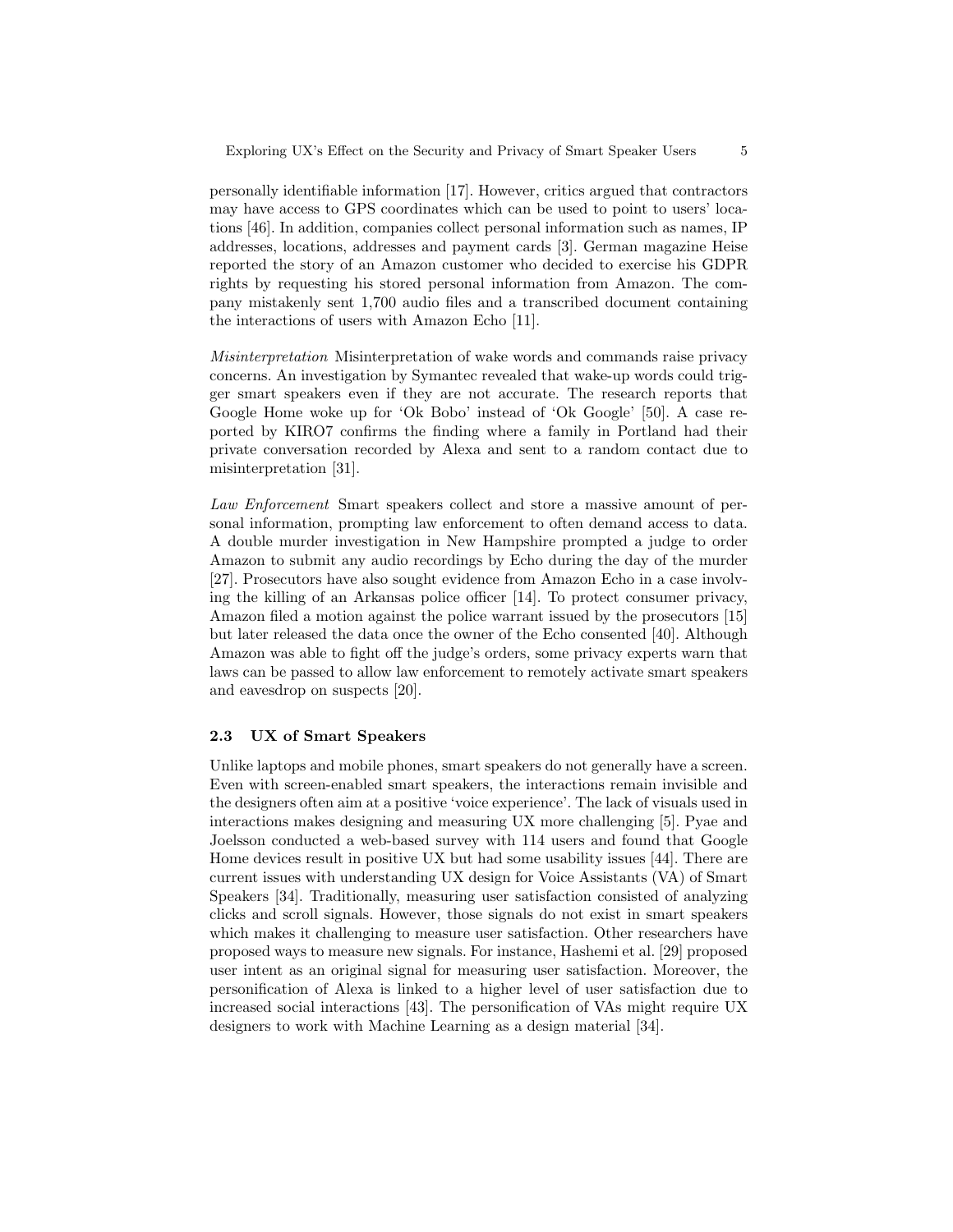personally identifiable information [17]. However, critics argued that contractors may have access to GPS coordinates which can be used to point to users' locations [46]. In addition, companies collect personal information such as names, IP addresses, locations, addresses and payment cards [3]. German magazine Heise reported the story of an Amazon customer who decided to exercise his GDPR rights by requesting his stored personal information from Amazon. The company mistakenly sent 1,700 audio files and a transcribed document containing the interactions of users with Amazon Echo [11].

Misinterpretation Misinterpretation of wake words and commands raise privacy concerns. An investigation by Symantec revealed that wake-up words could trigger smart speakers even if they are not accurate. The research reports that Google Home woke up for 'Ok Bobo' instead of 'Ok Google' [50]. A case reported by KIRO7 confirms the finding where a family in Portland had their private conversation recorded by Alexa and sent to a random contact due to misinterpretation [31].

Law Enforcement Smart speakers collect and store a massive amount of personal information, prompting law enforcement to often demand access to data. A double murder investigation in New Hampshire prompted a judge to order Amazon to submit any audio recordings by Echo during the day of the murder [27]. Prosecutors have also sought evidence from Amazon Echo in a case involving the killing of an Arkansas police officer [14]. To protect consumer privacy, Amazon filed a motion against the police warrant issued by the prosecutors [15] but later released the data once the owner of the Echo consented [40]. Although Amazon was able to fight off the judge's orders, some privacy experts warn that laws can be passed to allow law enforcement to remotely activate smart speakers and eavesdrop on suspects [20].

### 2.3 UX of Smart Speakers

Unlike laptops and mobile phones, smart speakers do not generally have a screen. Even with screen-enabled smart speakers, the interactions remain invisible and the designers often aim at a positive 'voice experience'. The lack of visuals used in interactions makes designing and measuring UX more challenging [5]. Pyae and Joelsson conducted a web-based survey with 114 users and found that Google Home devices result in positive UX but had some usability issues [44]. There are current issues with understanding UX design for Voice Assistants (VA) of Smart Speakers [34]. Traditionally, measuring user satisfaction consisted of analyzing clicks and scroll signals. However, those signals do not exist in smart speakers which makes it challenging to measure user satisfaction. Other researchers have proposed ways to measure new signals. For instance, Hashemi et al. [29] proposed user intent as an original signal for measuring user satisfaction. Moreover, the personification of Alexa is linked to a higher level of user satisfaction due to increased social interactions [43]. The personification of VAs might require UX designers to work with Machine Learning as a design material [34].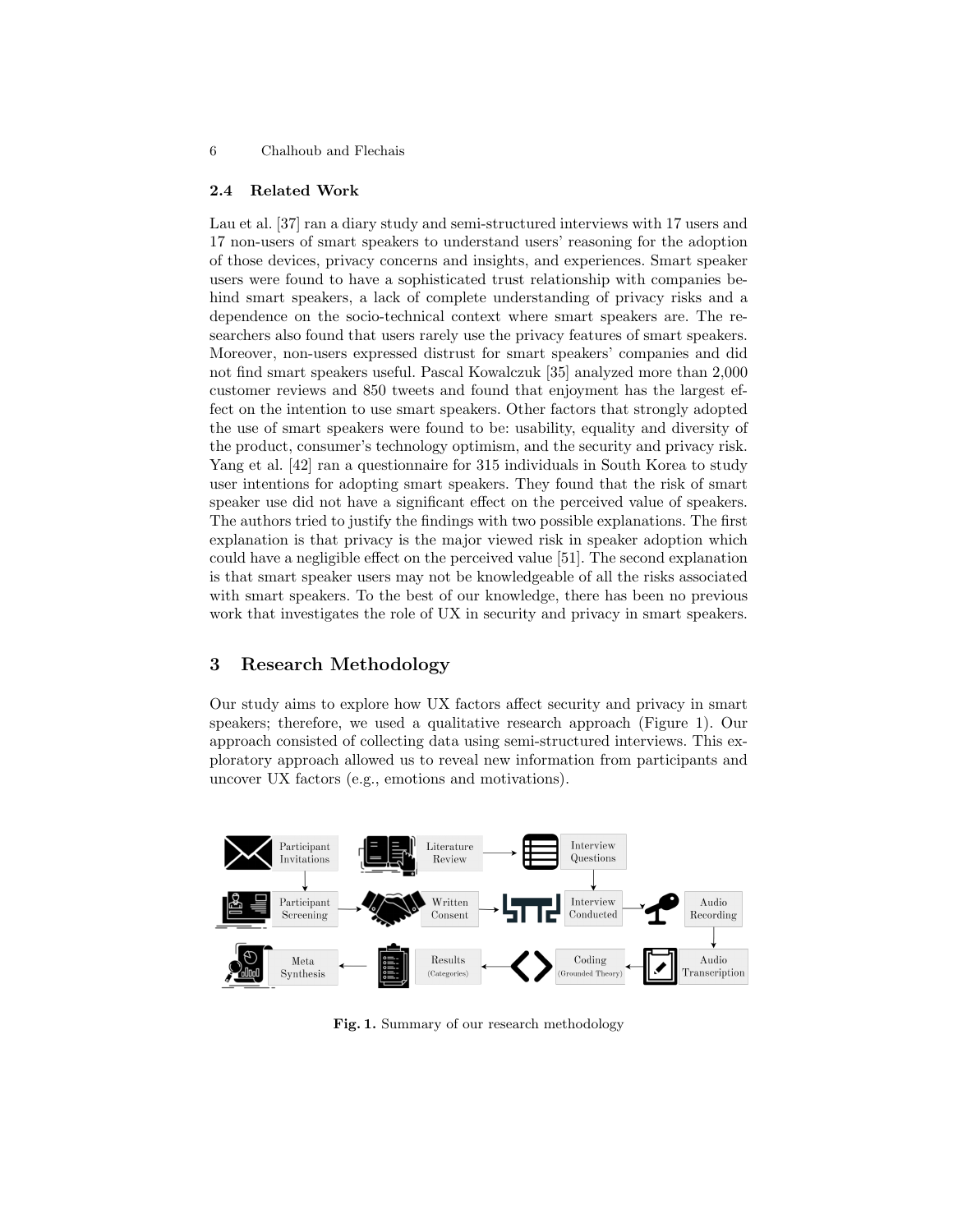### 2.4 Related Work

Lau et al. [37] ran a diary study and semi-structured interviews with 17 users and 17 non-users of smart speakers to understand users' reasoning for the adoption of those devices, privacy concerns and insights, and experiences. Smart speaker users were found to have a sophisticated trust relationship with companies behind smart speakers, a lack of complete understanding of privacy risks and a dependence on the socio-technical context where smart speakers are. The researchers also found that users rarely use the privacy features of smart speakers. Moreover, non-users expressed distrust for smart speakers' companies and did not find smart speakers useful. Pascal Kowalczuk [35] analyzed more than 2,000 customer reviews and 850 tweets and found that enjoyment has the largest effect on the intention to use smart speakers. Other factors that strongly adopted the use of smart speakers were found to be: usability, equality and diversity of the product, consumer's technology optimism, and the security and privacy risk. Yang et al. [42] ran a questionnaire for 315 individuals in South Korea to study user intentions for adopting smart speakers. They found that the risk of smart speaker use did not have a significant effect on the perceived value of speakers. The authors tried to justify the findings with two possible explanations. The first explanation is that privacy is the major viewed risk in speaker adoption which could have a negligible effect on the perceived value [51]. The second explanation is that smart speaker users may not be knowledgeable of all the risks associated with smart speakers. To the best of our knowledge, there has been no previous work that investigates the role of UX in security and privacy in smart speakers.

# 3 Research Methodology

Our study aims to explore how UX factors affect security and privacy in smart speakers; therefore, we used a qualitative research approach (Figure 1). Our approach consisted of collecting data using semi-structured interviews. This exploratory approach allowed us to reveal new information from participants and uncover UX factors (e.g., emotions and motivations).



Fig. 1. Summary of our research methodology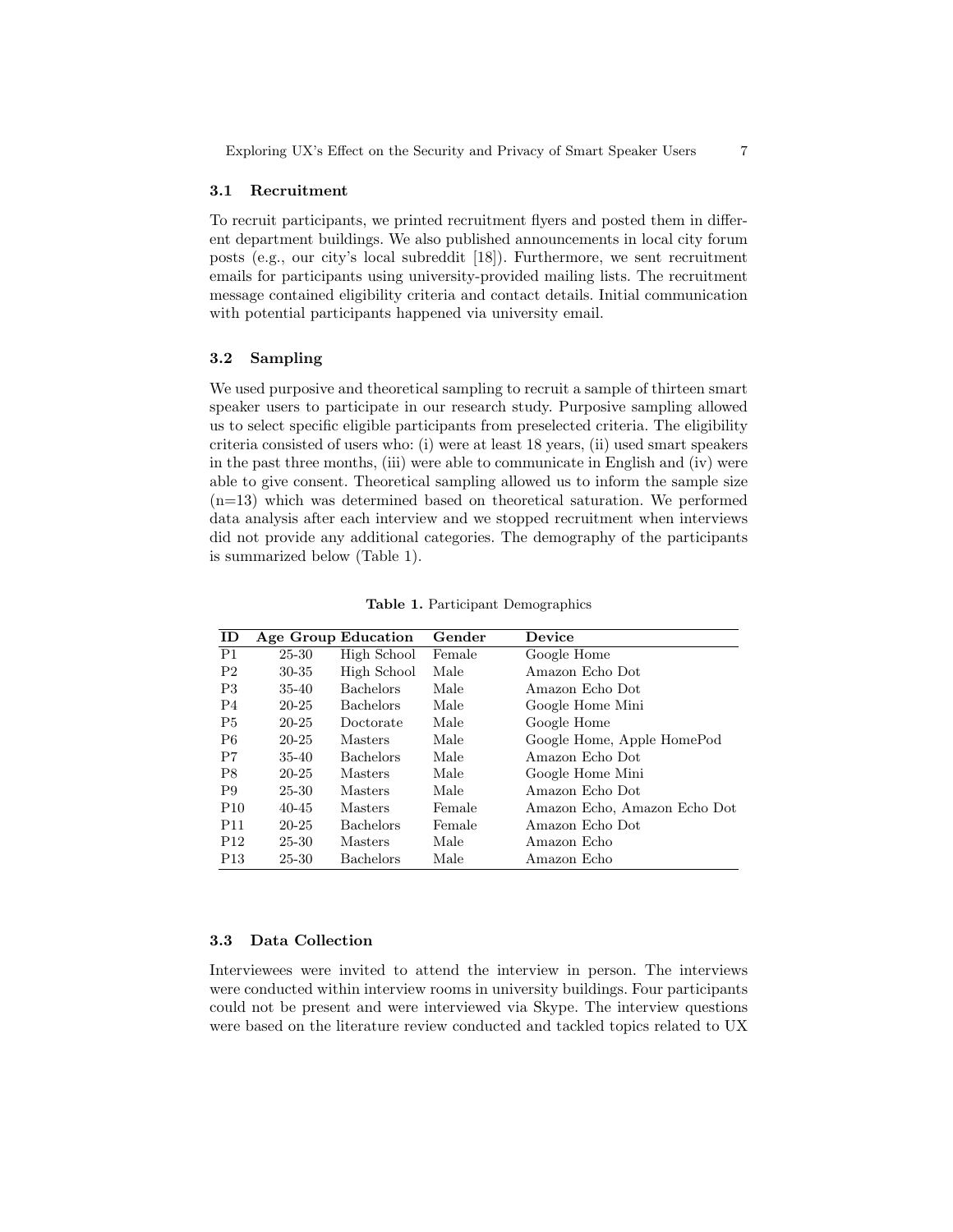# 3.1 Recruitment

To recruit participants, we printed recruitment flyers and posted them in different department buildings. We also published announcements in local city forum posts (e.g., our city's local subreddit [18]). Furthermore, we sent recruitment emails for participants using university-provided mailing lists. The recruitment message contained eligibility criteria and contact details. Initial communication with potential participants happened via university email.

# 3.2 Sampling

We used purposive and theoretical sampling to recruit a sample of thirteen smart speaker users to participate in our research study. Purposive sampling allowed us to select specific eligible participants from preselected criteria. The eligibility criteria consisted of users who: (i) were at least 18 years, (ii) used smart speakers in the past three months, (iii) were able to communicate in English and (iv) were able to give consent. Theoretical sampling allowed us to inform the sample size (n=13) which was determined based on theoretical saturation. We performed data analysis after each interview and we stopped recruitment when interviews did not provide any additional categories. The demography of the participants is summarized below (Table 1).

| ID              | Age Group Education |                  | Gender | Device                       |
|-----------------|---------------------|------------------|--------|------------------------------|
| P1              | 25-30               | High School      | Female | Google Home                  |
| P <sub>2</sub>  | 30-35               | High School      | Male   | Amazon Echo Dot              |
| P <sub>3</sub>  | 35-40               | <b>Bachelors</b> | Male   | Amazon Echo Dot              |
| P <sub>4</sub>  | 20-25               | <b>Bachelors</b> | Male   | Google Home Mini             |
| P <sub>5</sub>  | $20 - 25$           | Doctorate        | Male   | Google Home                  |
| P <sub>6</sub>  | $20 - 25$           | <b>Masters</b>   | Male   | Google Home, Apple HomePod   |
| P7              | 35-40               | <b>Bachelors</b> | Male   | Amazon Echo Dot              |
| P <sub>8</sub>  | 20-25               | <b>Masters</b>   | Male   | Google Home Mini             |
| P <sub>9</sub>  | 25-30               | <b>Masters</b>   | Male   | Amazon Echo Dot              |
| P10             | 40-45               | <b>Masters</b>   | Female | Amazon Echo, Amazon Echo Dot |
| P <sub>11</sub> | 20-25               | <b>Bachelors</b> | Female | Amazon Echo Dot              |
| P <sub>12</sub> | 25-30               | <b>Masters</b>   | Male   | Amazon Echo                  |
| P <sub>13</sub> | 25-30               | <b>Bachelors</b> | Male   | Amazon Echo                  |

Table 1. Participant Demographics

# 3.3 Data Collection

Interviewees were invited to attend the interview in person. The interviews were conducted within interview rooms in university buildings. Four participants could not be present and were interviewed via Skype. The interview questions were based on the literature review conducted and tackled topics related to UX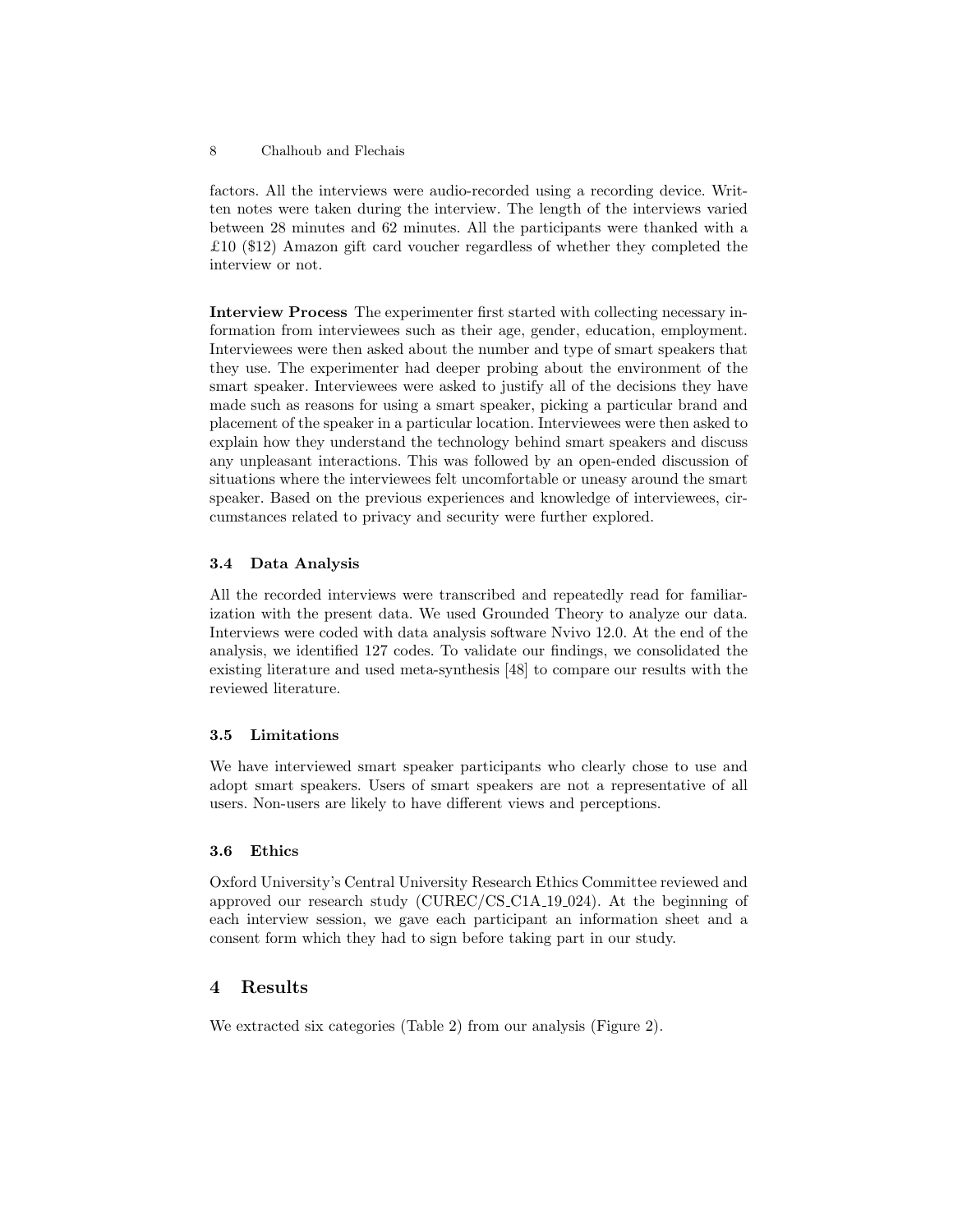factors. All the interviews were audio-recorded using a recording device. Written notes were taken during the interview. The length of the interviews varied between 28 minutes and 62 minutes. All the participants were thanked with a £10 (\$12) Amazon gift card voucher regardless of whether they completed the interview or not.

Interview Process The experimenter first started with collecting necessary information from interviewees such as their age, gender, education, employment. Interviewees were then asked about the number and type of smart speakers that they use. The experimenter had deeper probing about the environment of the smart speaker. Interviewees were asked to justify all of the decisions they have made such as reasons for using a smart speaker, picking a particular brand and placement of the speaker in a particular location. Interviewees were then asked to explain how they understand the technology behind smart speakers and discuss any unpleasant interactions. This was followed by an open-ended discussion of situations where the interviewees felt uncomfortable or uneasy around the smart speaker. Based on the previous experiences and knowledge of interviewees, circumstances related to privacy and security were further explored.

# 3.4 Data Analysis

All the recorded interviews were transcribed and repeatedly read for familiarization with the present data. We used Grounded Theory to analyze our data. Interviews were coded with data analysis software Nvivo 12.0. At the end of the analysis, we identified 127 codes. To validate our findings, we consolidated the existing literature and used meta-synthesis [48] to compare our results with the reviewed literature.

# 3.5 Limitations

We have interviewed smart speaker participants who clearly chose to use and adopt smart speakers. Users of smart speakers are not a representative of all users. Non-users are likely to have different views and perceptions.

# 3.6 Ethics

Oxford University's Central University Research Ethics Committee reviewed and approved our research study (CUREC/CS C1A 19 024). At the beginning of each interview session, we gave each participant an information sheet and a consent form which they had to sign before taking part in our study.

# 4 Results

We extracted six categories (Table 2) from our analysis (Figure 2).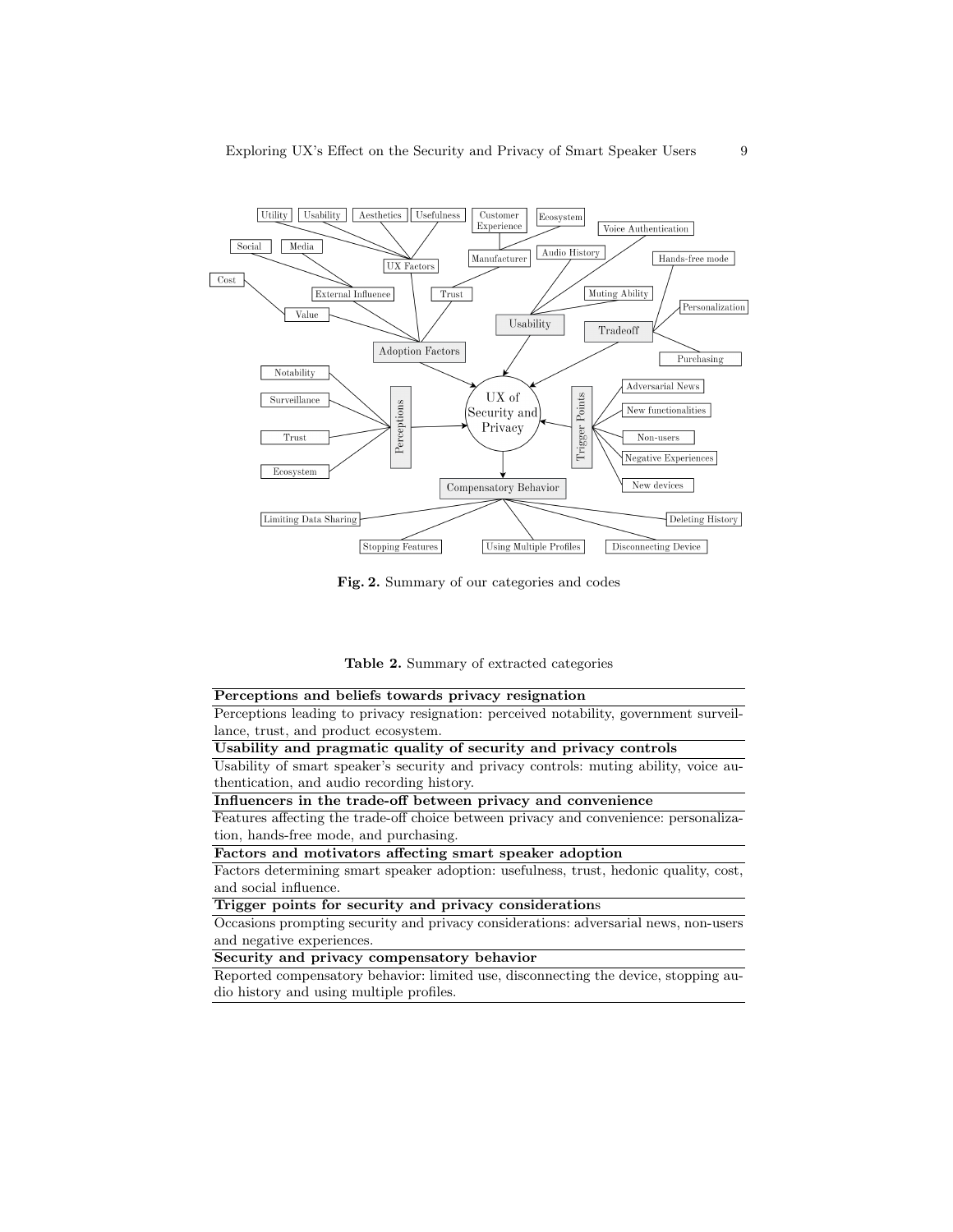

Fig. 2. Summary of our categories and codes

Table 2. Summary of extracted categories

Perceptions and beliefs towards privacy resignation

Perceptions leading to privacy resignation: perceived notability, government surveillance, trust, and product ecosystem.

Usability and pragmatic quality of security and privacy controls

Usability of smart speaker's security and privacy controls: muting ability, voice authentication, and audio recording history.

Influencers in the trade-off between privacy and convenience

Features affecting the trade-off choice between privacy and convenience: personalization, hands-free mode, and purchasing.

Factors and motivators affecting smart speaker adoption

Factors determining smart speaker adoption: usefulness, trust, hedonic quality, cost, and social influence.

Trigger points for security and privacy considerations

Occasions prompting security and privacy considerations: adversarial news, non-users and negative experiences.

Security and privacy compensatory behavior

Reported compensatory behavior: limited use, disconnecting the device, stopping audio history and using multiple profiles.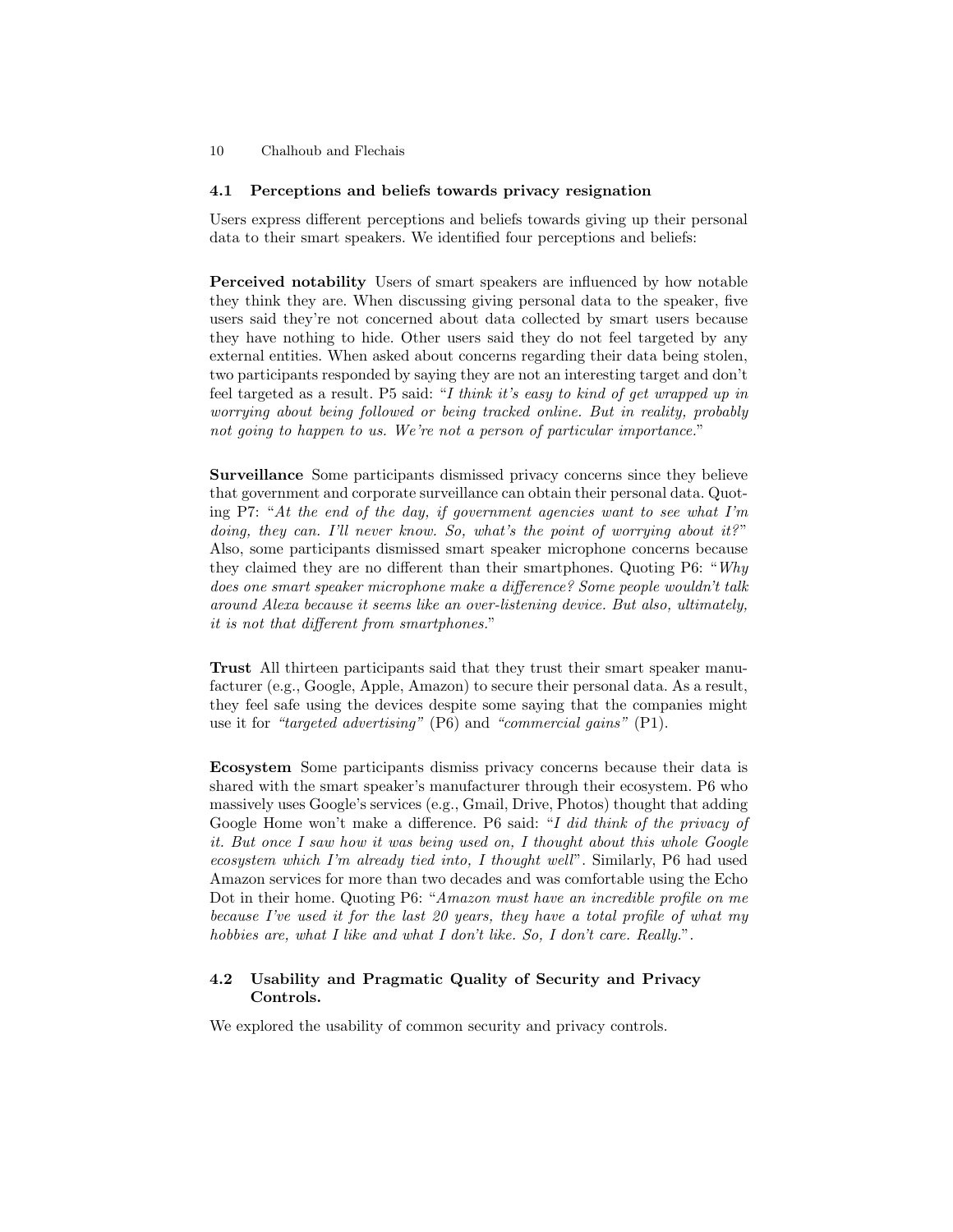### 4.1 Perceptions and beliefs towards privacy resignation

Users express different perceptions and beliefs towards giving up their personal data to their smart speakers. We identified four perceptions and beliefs:

Perceived notability Users of smart speakers are influenced by how notable they think they are. When discussing giving personal data to the speaker, five users said they're not concerned about data collected by smart users because they have nothing to hide. Other users said they do not feel targeted by any external entities. When asked about concerns regarding their data being stolen, two participants responded by saying they are not an interesting target and don't feel targeted as a result. P5 said: "I think it's easy to kind of get wrapped up in worrying about being followed or being tracked online. But in reality, probably not going to happen to us. We're not a person of particular importance."

Surveillance Some participants dismissed privacy concerns since they believe that government and corporate surveillance can obtain their personal data. Quoting P7: "At the end of the day, if government agencies want to see what I'm doing, they can. I'll never know. So, what's the point of worrying about it?" Also, some participants dismissed smart speaker microphone concerns because they claimed they are no different than their smartphones. Quoting P6: "Why does one smart speaker microphone make a difference? Some people wouldn't talk around Alexa because it seems like an over-listening device. But also, ultimately, it is not that different from smartphones."

Trust All thirteen participants said that they trust their smart speaker manufacturer (e.g., Google, Apple, Amazon) to secure their personal data. As a result, they feel safe using the devices despite some saying that the companies might use it for "targeted advertising" (P6) and "commercial gains" (P1).

Ecosystem Some participants dismiss privacy concerns because their data is shared with the smart speaker's manufacturer through their ecosystem. P6 who massively uses Google's services (e.g., Gmail, Drive, Photos) thought that adding Google Home won't make a difference. P6 said: "I did think of the privacy of it. But once I saw how it was being used on, I thought about this whole Google ecosystem which I'm already tied into, I thought well". Similarly, P6 had used Amazon services for more than two decades and was comfortable using the Echo Dot in their home. Quoting P6: "Amazon must have an incredible profile on me because I've used it for the last 20 years, they have a total profile of what my hobbies are, what I like and what I don't like. So, I don't care. Really.".

# 4.2 Usability and Pragmatic Quality of Security and Privacy Controls.

We explored the usability of common security and privacy controls.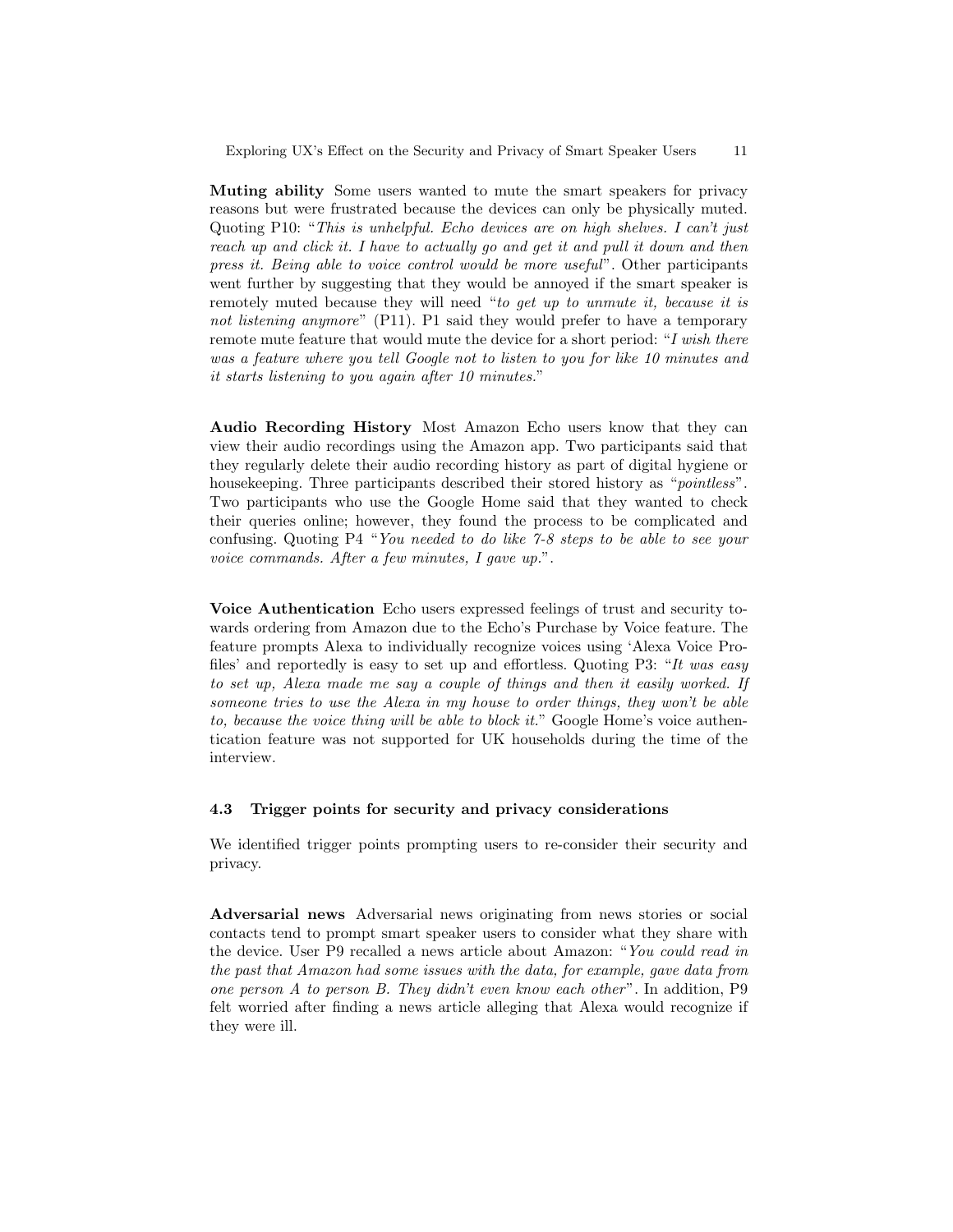Muting ability Some users wanted to mute the smart speakers for privacy reasons but were frustrated because the devices can only be physically muted. Quoting P10: "This is unhelpful. Echo devices are on high shelves. I can't just reach up and click it. I have to actually go and get it and pull it down and then press it. Being able to voice control would be more useful". Other participants went further by suggesting that they would be annoyed if the smart speaker is remotely muted because they will need "to get up to unmute it, because it is not listening anymore" (P11). P1 said they would prefer to have a temporary remote mute feature that would mute the device for a short period: "I wish there was a feature where you tell Google not to listen to you for like 10 minutes and it starts listening to you again after 10 minutes."

Audio Recording History Most Amazon Echo users know that they can view their audio recordings using the Amazon app. Two participants said that they regularly delete their audio recording history as part of digital hygiene or house keeping. Three participants described their stored history as "*pointless*". Two participants who use the Google Home said that they wanted to check their queries online; however, they found the process to be complicated and confusing. Quoting P4 "You needed to do like 7-8 steps to be able to see your voice commands. After a few minutes, I gave up.".

Voice Authentication Echo users expressed feelings of trust and security towards ordering from Amazon due to the Echo's Purchase by Voice feature. The feature prompts Alexa to individually recognize voices using 'Alexa Voice Profiles' and reportedly is easy to set up and effortless. Quoting P3: "It was easy to set up, Alexa made me say a couple of things and then it easily worked. If someone tries to use the Alexa in my house to order things, they won't be able to, because the voice thing will be able to block it." Google Home's voice authentication feature was not supported for UK households during the time of the interview.

## 4.3 Trigger points for security and privacy considerations

We identified trigger points prompting users to re-consider their security and privacy.

Adversarial news Adversarial news originating from news stories or social contacts tend to prompt smart speaker users to consider what they share with the device. User P9 recalled a news article about Amazon: "You could read in the past that Amazon had some issues with the data, for example, gave data from one person A to person B. They didn't even know each other". In addition, P9 felt worried after finding a news article alleging that Alexa would recognize if they were ill.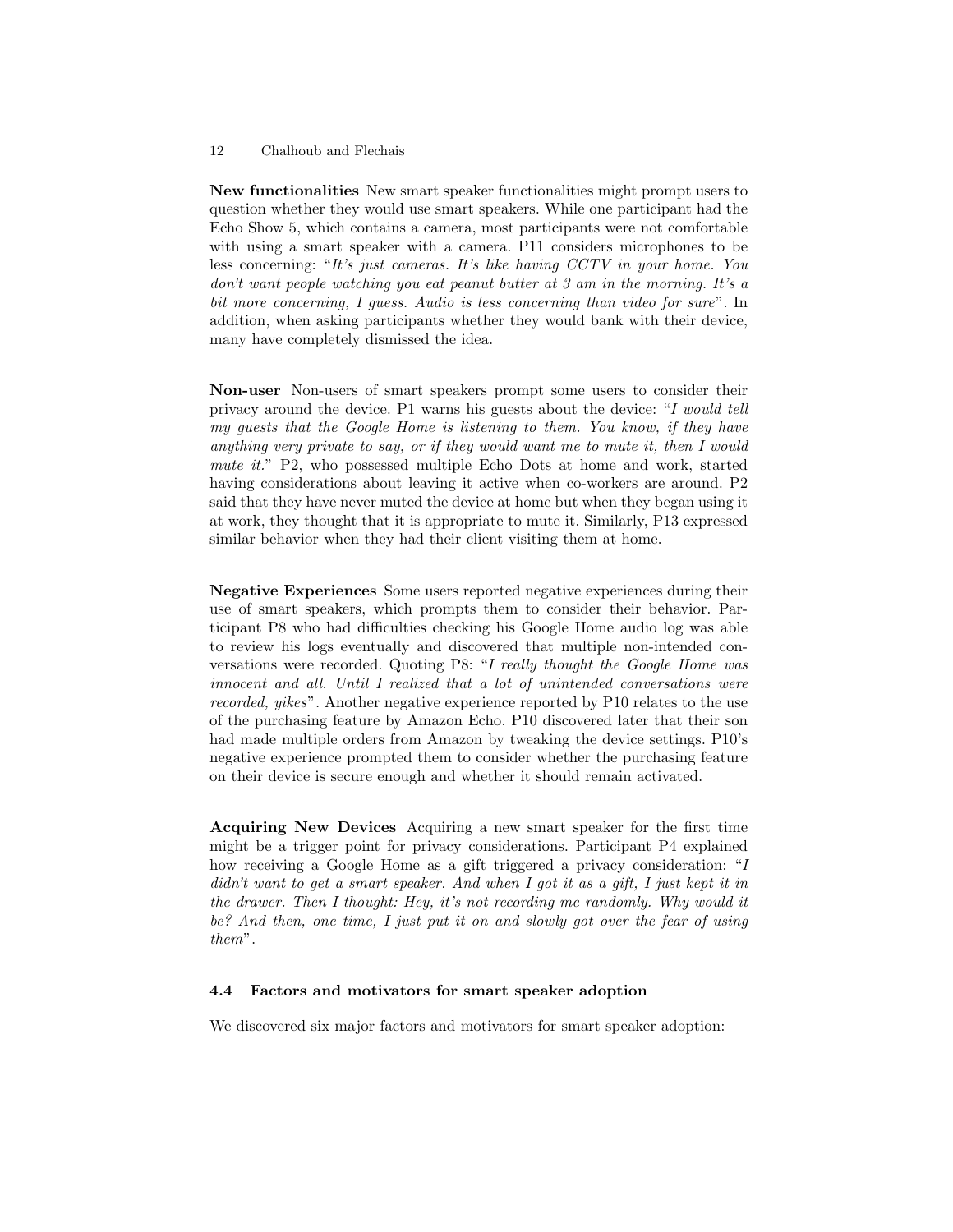New functionalities New smart speaker functionalities might prompt users to question whether they would use smart speakers. While one participant had the Echo Show 5, which contains a camera, most participants were not comfortable with using a smart speaker with a camera. P11 considers microphones to be less concerning: "It's just cameras. It's like having CCTV in your home. You don't want people watching you eat peanut butter at 3 am in the morning. It's a bit more concerning, I guess. Audio is less concerning than video for sure". In addition, when asking participants whether they would bank with their device, many have completely dismissed the idea.

Non-user Non-users of smart speakers prompt some users to consider their privacy around the device. P1 warns his guests about the device: "I would tell my guests that the Google Home is listening to them. You know, if they have anything very private to say, or if they would want me to mute it, then I would mute it." P2, who possessed multiple Echo Dots at home and work, started having considerations about leaving it active when co-workers are around. P2 said that they have never muted the device at home but when they began using it at work, they thought that it is appropriate to mute it. Similarly, P13 expressed similar behavior when they had their client visiting them at home.

Negative Experiences Some users reported negative experiences during their use of smart speakers, which prompts them to consider their behavior. Participant P8 who had difficulties checking his Google Home audio log was able to review his logs eventually and discovered that multiple non-intended conversations were recorded. Quoting P8: "I really thought the Google Home was innocent and all. Until I realized that a lot of unintended conversations were recorded, yikes". Another negative experience reported by P10 relates to the use of the purchasing feature by Amazon Echo. P10 discovered later that their son had made multiple orders from Amazon by tweaking the device settings. P10's negative experience prompted them to consider whether the purchasing feature on their device is secure enough and whether it should remain activated.

Acquiring New Devices Acquiring a new smart speaker for the first time might be a trigger point for privacy considerations. Participant P4 explained how receiving a Google Home as a gift triggered a privacy consideration: "I didn't want to get a smart speaker. And when I got it as a gift, I just kept it in the drawer. Then I thought: Hey, it's not recording me randomly. Why would it be? And then, one time, I just put it on and slowly got over the fear of using them".

### 4.4 Factors and motivators for smart speaker adoption

We discovered six major factors and motivators for smart speaker adoption: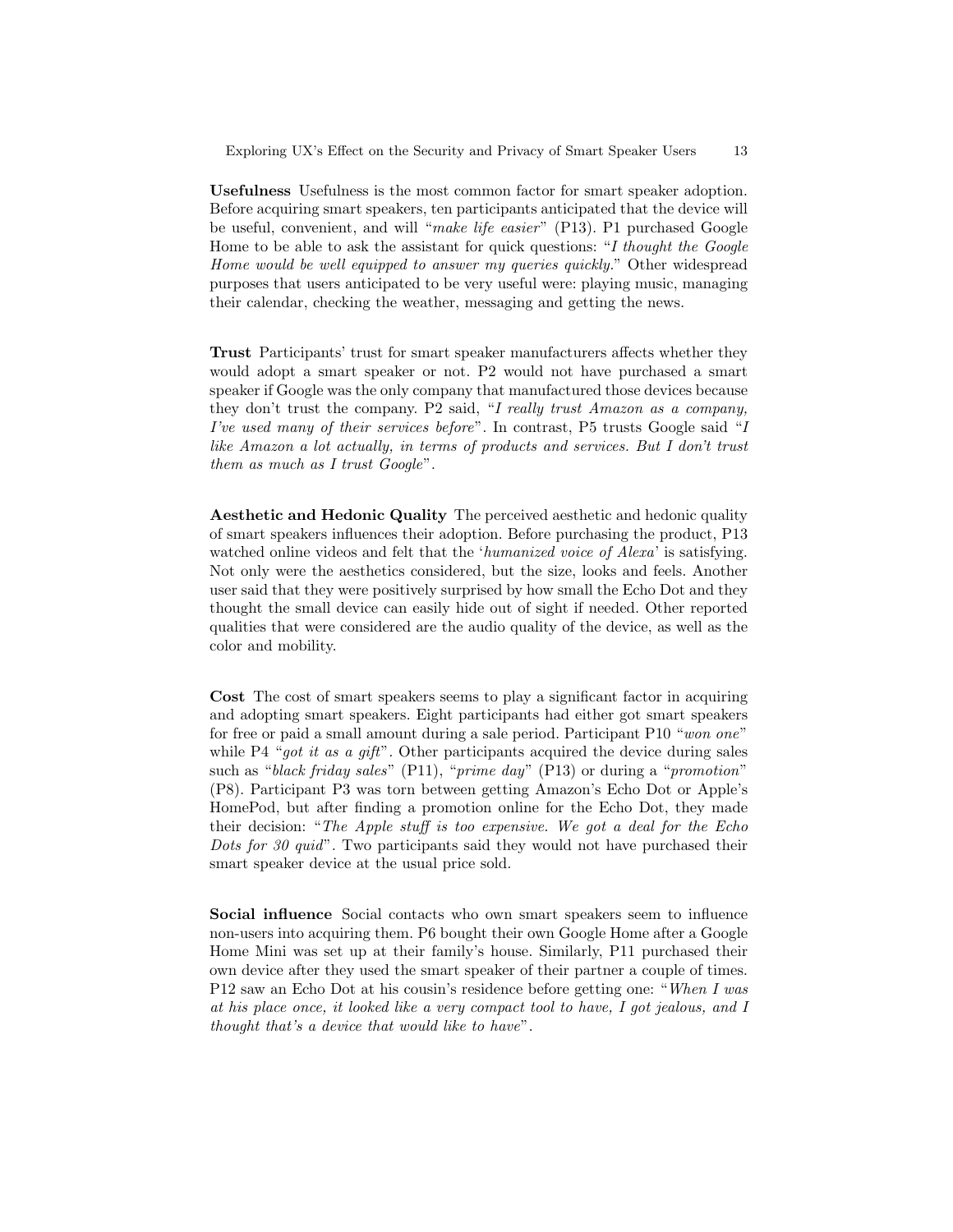Usefulness Usefulness is the most common factor for smart speaker adoption. Before acquiring smart speakers, ten participants anticipated that the device will be useful, convenient, and will "make life easier" (P13). P1 purchased Google Home to be able to ask the assistant for quick questions: "I thought the Google Home would be well equipped to answer my queries quickly." Other widespread purposes that users anticipated to be very useful were: playing music, managing their calendar, checking the weather, messaging and getting the news.

Trust Participants' trust for smart speaker manufacturers affects whether they would adopt a smart speaker or not. P2 would not have purchased a smart speaker if Google was the only company that manufactured those devices because they don't trust the company. P2 said, "I really trust Amazon as a company, I've used many of their services before". In contrast, P5 trusts Google said "I like Amazon a lot actually, in terms of products and services. But I don't trust them as much as I trust Google".

Aesthetic and Hedonic Quality The perceived aesthetic and hedonic quality of smart speakers influences their adoption. Before purchasing the product, P13 watched online videos and felt that the 'humanized voice of Alexa' is satisfying. Not only were the aesthetics considered, but the size, looks and feels. Another user said that they were positively surprised by how small the Echo Dot and they thought the small device can easily hide out of sight if needed. Other reported qualities that were considered are the audio quality of the device, as well as the color and mobility.

Cost The cost of smart speakers seems to play a significant factor in acquiring and adopting smart speakers. Eight participants had either got smart speakers for free or paid a small amount during a sale period. Participant P10 "won one" while P4 "got it as a gift". Other participants acquired the device during sales such as "black friday sales" (P11), "prime day" (P13) or during a "promotion" (P8). Participant P3 was torn between getting Amazon's Echo Dot or Apple's HomePod, but after finding a promotion online for the Echo Dot, they made their decision: "The Apple stuff is too expensive. We got a deal for the Echo Dots for 30 quid". Two participants said they would not have purchased their smart speaker device at the usual price sold.

Social influence Social contacts who own smart speakers seem to influence non-users into acquiring them. P6 bought their own Google Home after a Google Home Mini was set up at their family's house. Similarly, P11 purchased their own device after they used the smart speaker of their partner a couple of times. P12 saw an Echo Dot at his cousin's residence before getting one: "When I was at his place once, it looked like a very compact tool to have, I got jealous, and I thought that's a device that would like to have".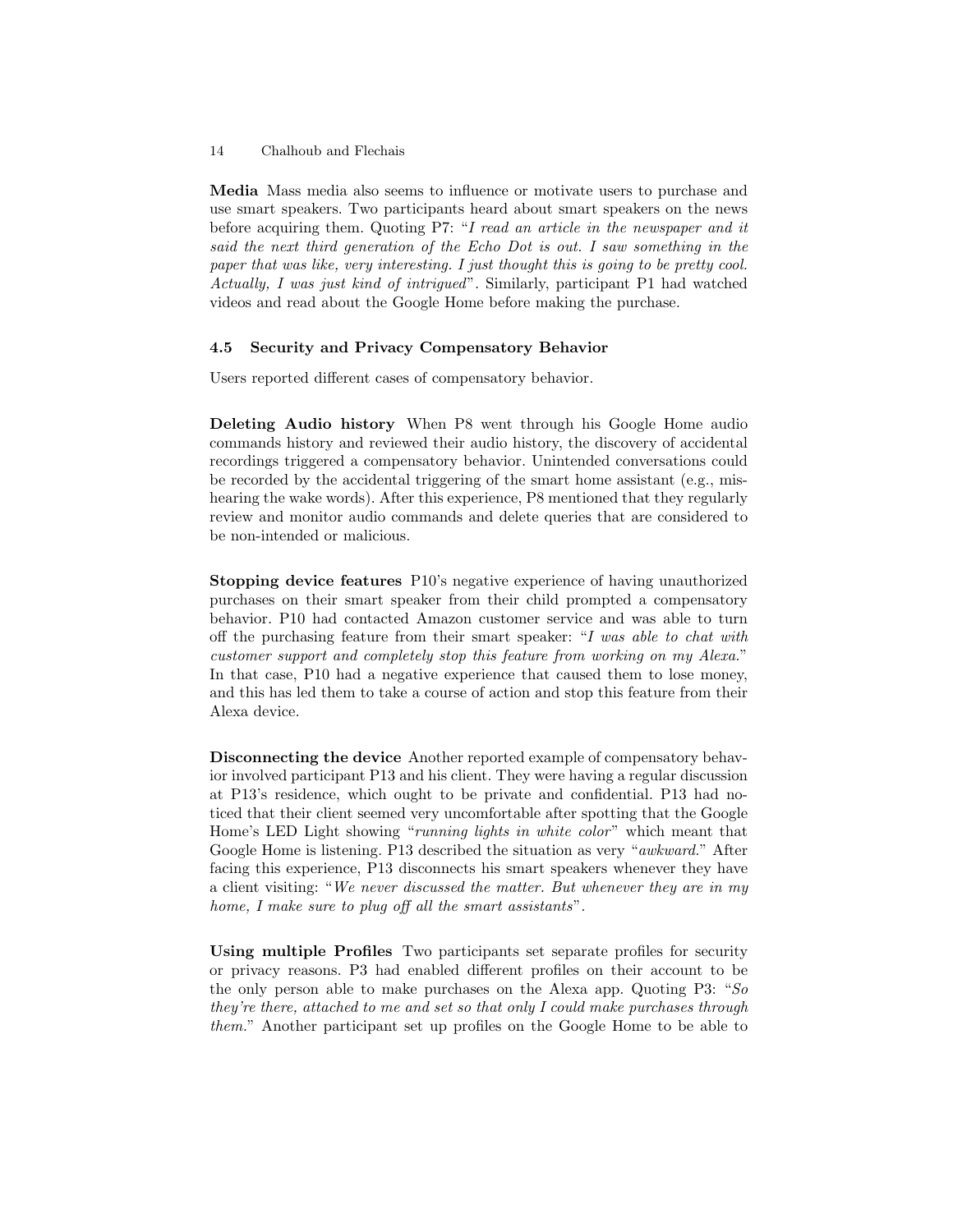Media Mass media also seems to influence or motivate users to purchase and use smart speakers. Two participants heard about smart speakers on the news before acquiring them. Quoting P7: "I read an article in the newspaper and it said the next third generation of the Echo Dot is out. I saw something in the paper that was like, very interesting. I just thought this is going to be pretty cool. Actually, I was just kind of intrigued". Similarly, participant P1 had watched videos and read about the Google Home before making the purchase.

# 4.5 Security and Privacy Compensatory Behavior

Users reported different cases of compensatory behavior.

Deleting Audio history When P8 went through his Google Home audio commands history and reviewed their audio history, the discovery of accidental recordings triggered a compensatory behavior. Unintended conversations could be recorded by the accidental triggering of the smart home assistant (e.g., mishearing the wake words). After this experience, P8 mentioned that they regularly review and monitor audio commands and delete queries that are considered to be non-intended or malicious.

Stopping device features P10's negative experience of having unauthorized purchases on their smart speaker from their child prompted a compensatory behavior. P10 had contacted Amazon customer service and was able to turn off the purchasing feature from their smart speaker: "I was able to chat with customer support and completely stop this feature from working on my Alexa." In that case, P10 had a negative experience that caused them to lose money, and this has led them to take a course of action and stop this feature from their Alexa device.

Disconnecting the device Another reported example of compensatory behavior involved participant P13 and his client. They were having a regular discussion at P13's residence, which ought to be private and confidential. P13 had noticed that their client seemed very uncomfortable after spotting that the Google Home's LED Light showing "running lights in white color" which meant that Google Home is listening. P13 described the situation as very "awkward." After facing this experience, P13 disconnects his smart speakers whenever they have a client visiting: "We never discussed the matter. But whenever they are in my home, I make sure to plug off all the smart assistants".

Using multiple Profiles Two participants set separate profiles for security or privacy reasons. P3 had enabled different profiles on their account to be the only person able to make purchases on the Alexa app. Quoting P3: "So they're there, attached to me and set so that only I could make purchases through them." Another participant set up profiles on the Google Home to be able to

<sup>14</sup> Chalhoub and Flechais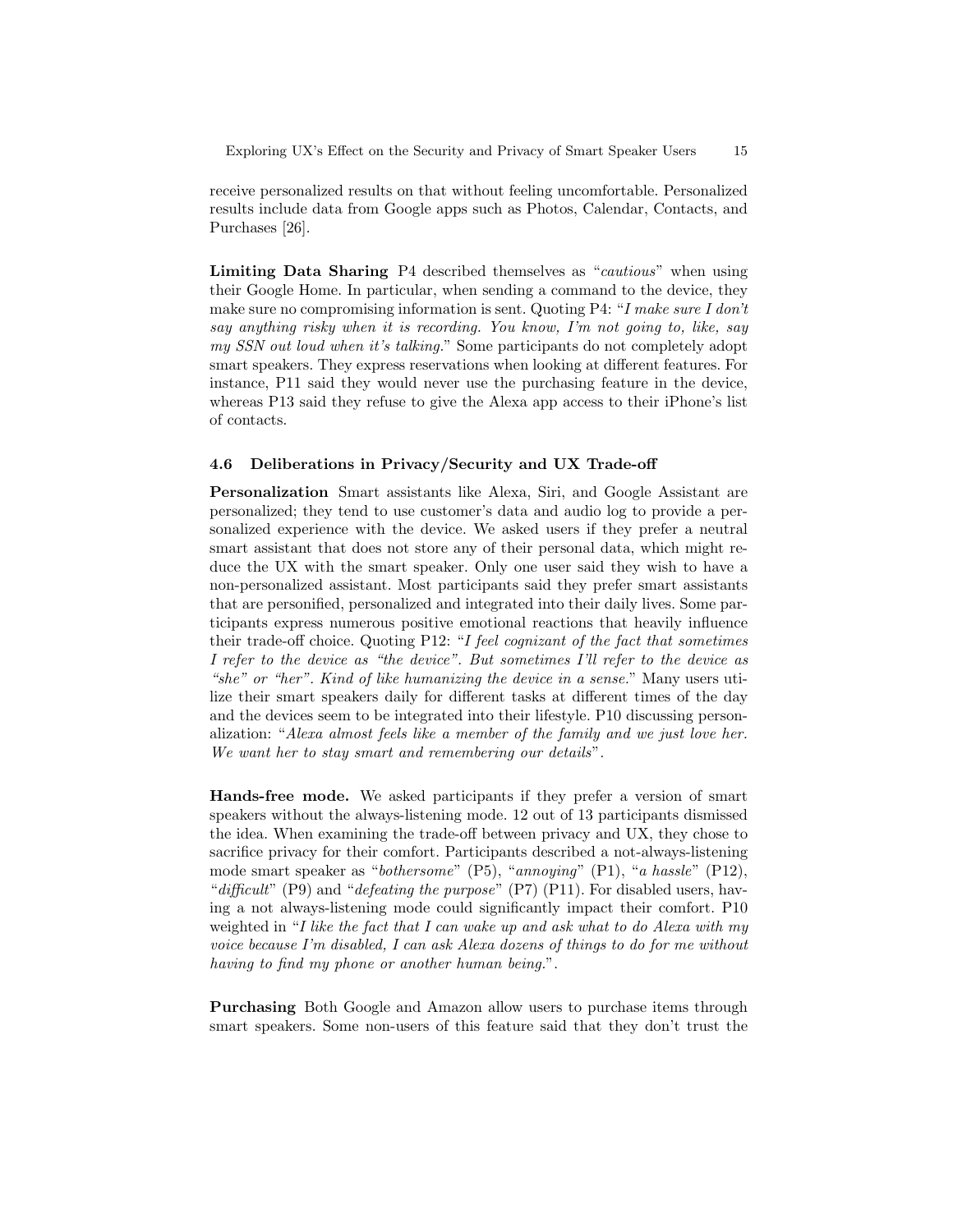receive personalized results on that without feeling uncomfortable. Personalized results include data from Google apps such as Photos, Calendar, Contacts, and Purchases [26].

Limiting Data Sharing P4 described themselves as "cautious" when using their Google Home. In particular, when sending a command to the device, they make sure no compromising information is sent. Quoting P4: "I make sure I don't say anything risky when it is recording. You know, I'm not going to, like, say my SSN out loud when it's talking." Some participants do not completely adopt smart speakers. They express reservations when looking at different features. For instance, P11 said they would never use the purchasing feature in the device, whereas P13 said they refuse to give the Alexa app access to their iPhone's list of contacts.

### 4.6 Deliberations in Privacy/Security and UX Trade-off

Personalization Smart assistants like Alexa, Siri, and Google Assistant are personalized; they tend to use customer's data and audio log to provide a personalized experience with the device. We asked users if they prefer a neutral smart assistant that does not store any of their personal data, which might reduce the UX with the smart speaker. Only one user said they wish to have a non-personalized assistant. Most participants said they prefer smart assistants that are personified, personalized and integrated into their daily lives. Some participants express numerous positive emotional reactions that heavily influence their trade-off choice. Quoting P12: "I feel cognizant of the fact that sometimes I refer to the device as "the device". But sometimes I'll refer to the device as "she" or "her". Kind of like humanizing the device in a sense." Many users utilize their smart speakers daily for different tasks at different times of the day and the devices seem to be integrated into their lifestyle. P10 discussing personalization: "Alexa almost feels like a member of the family and we just love her. We want her to stay smart and remembering our details".

Hands-free mode. We asked participants if they prefer a version of smart speakers without the always-listening mode. 12 out of 13 participants dismissed the idea. When examining the trade-off between privacy and UX, they chose to sacrifice privacy for their comfort. Participants described a not-always-listening mode smart speaker as "bothersome" (P5), "annoying" (P1), "a hassle" (P12), "difficult" (P9) and "defeating the purpose" (P7) (P11). For disabled users, having a not always-listening mode could significantly impact their comfort. P10 weighted in "I like the fact that I can wake up and ask what to do Alexa with my voice because I'm disabled, I can ask Alexa dozens of things to do for me without having to find my phone or another human being.".

Purchasing Both Google and Amazon allow users to purchase items through smart speakers. Some non-users of this feature said that they don't trust the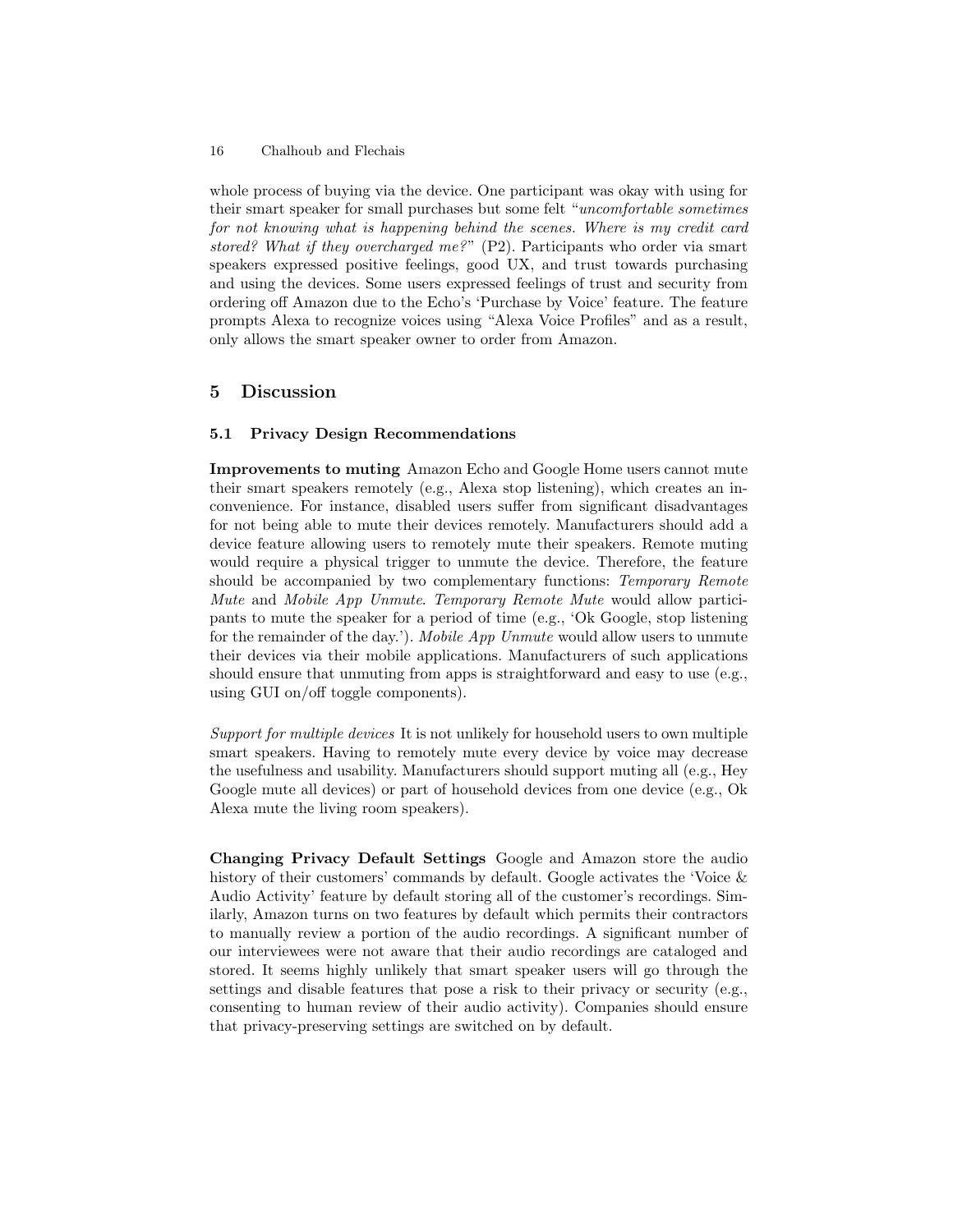whole process of buying via the device. One participant was okay with using for their smart speaker for small purchases but some felt "uncomfortable sometimes for not knowing what is happening behind the scenes. Where is my credit card stored? What if they overcharged me?"  $(P2)$ . Participants who order via smart speakers expressed positive feelings, good UX, and trust towards purchasing and using the devices. Some users expressed feelings of trust and security from ordering off Amazon due to the Echo's 'Purchase by Voice' feature. The feature prompts Alexa to recognize voices using "Alexa Voice Profiles" and as a result, only allows the smart speaker owner to order from Amazon.

# 5 Discussion

## 5.1 Privacy Design Recommendations

Improvements to muting Amazon Echo and Google Home users cannot mute their smart speakers remotely (e.g., Alexa stop listening), which creates an inconvenience. For instance, disabled users suffer from significant disadvantages for not being able to mute their devices remotely. Manufacturers should add a device feature allowing users to remotely mute their speakers. Remote muting would require a physical trigger to unmute the device. Therefore, the feature should be accompanied by two complementary functions: Temporary Remote Mute and Mobile App Unmute. Temporary Remote Mute would allow participants to mute the speaker for a period of time (e.g., 'Ok Google, stop listening for the remainder of the day.'). Mobile App Unmute would allow users to unmute their devices via their mobile applications. Manufacturers of such applications should ensure that unmuting from apps is straightforward and easy to use (e.g., using GUI on/off toggle components).

Support for multiple devices It is not unlikely for household users to own multiple smart speakers. Having to remotely mute every device by voice may decrease the usefulness and usability. Manufacturers should support muting all (e.g., Hey Google mute all devices) or part of household devices from one device (e.g., Ok Alexa mute the living room speakers).

Changing Privacy Default Settings Google and Amazon store the audio history of their customers' commands by default. Google activates the 'Voice & Audio Activity' feature by default storing all of the customer's recordings. Similarly, Amazon turns on two features by default which permits their contractors to manually review a portion of the audio recordings. A significant number of our interviewees were not aware that their audio recordings are cataloged and stored. It seems highly unlikely that smart speaker users will go through the settings and disable features that pose a risk to their privacy or security (e.g., consenting to human review of their audio activity). Companies should ensure that privacy-preserving settings are switched on by default.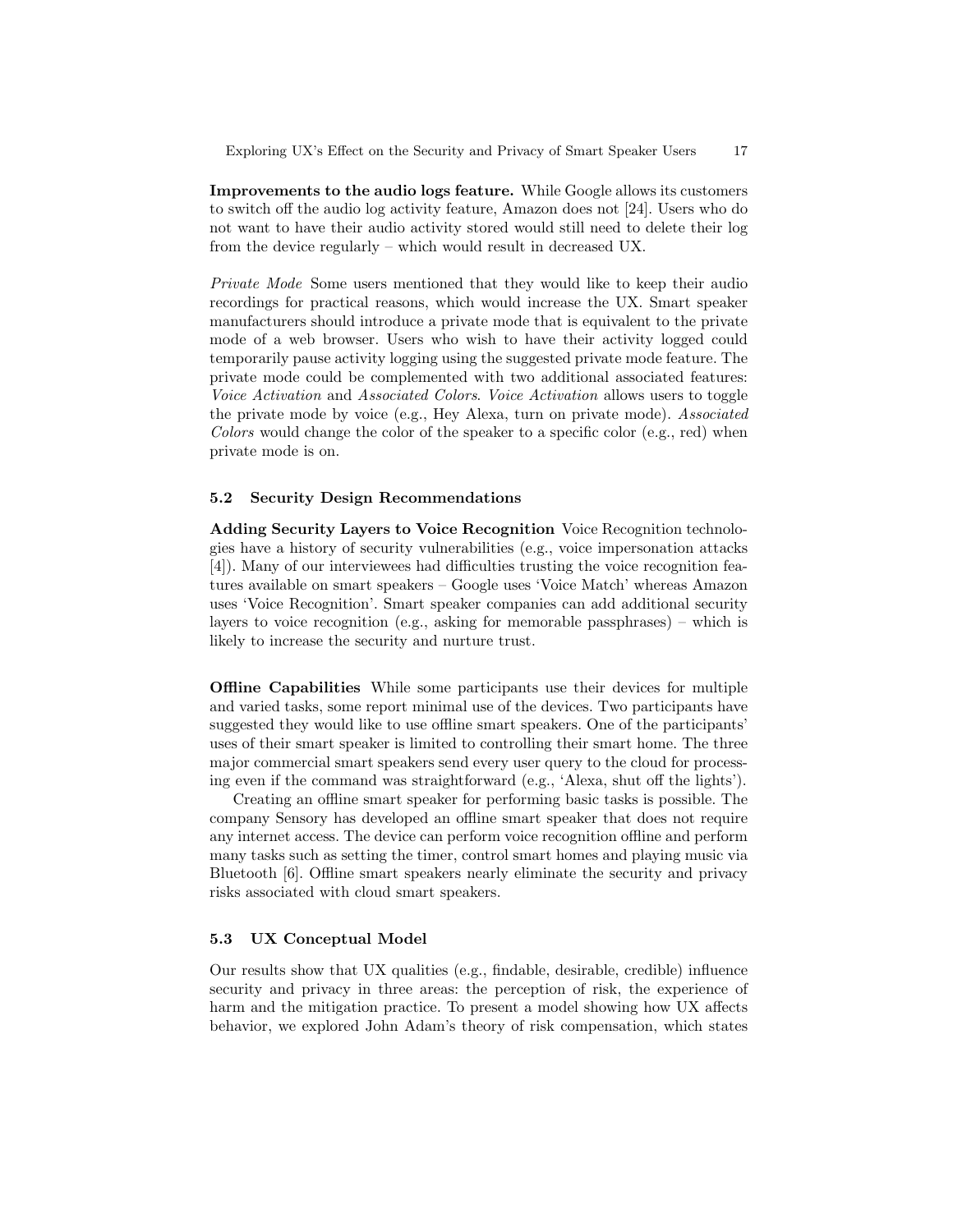Improvements to the audio logs feature. While Google allows its customers to switch off the audio log activity feature, Amazon does not [24]. Users who do not want to have their audio activity stored would still need to delete their log from the device regularly – which would result in decreased UX.

Private Mode Some users mentioned that they would like to keep their audio recordings for practical reasons, which would increase the UX. Smart speaker manufacturers should introduce a private mode that is equivalent to the private mode of a web browser. Users who wish to have their activity logged could temporarily pause activity logging using the suggested private mode feature. The private mode could be complemented with two additional associated features: Voice Activation and Associated Colors. Voice Activation allows users to toggle the private mode by voice (e.g., Hey Alexa, turn on private mode). Associated Colors would change the color of the speaker to a specific color  $(e.g., red)$  when private mode is on.

# 5.2 Security Design Recommendations

Adding Security Layers to Voice Recognition Voice Recognition technologies have a history of security vulnerabilities (e.g., voice impersonation attacks [4]). Many of our interviewees had difficulties trusting the voice recognition features available on smart speakers – Google uses 'Voice Match' whereas Amazon uses 'Voice Recognition'. Smart speaker companies can add additional security layers to voice recognition (e.g., asking for memorable passphrases) – which is likely to increase the security and nurture trust.

Offline Capabilities While some participants use their devices for multiple and varied tasks, some report minimal use of the devices. Two participants have suggested they would like to use offline smart speakers. One of the participants' uses of their smart speaker is limited to controlling their smart home. The three major commercial smart speakers send every user query to the cloud for processing even if the command was straightforward (e.g., 'Alexa, shut off the lights').

Creating an offline smart speaker for performing basic tasks is possible. The company Sensory has developed an offline smart speaker that does not require any internet access. The device can perform voice recognition offline and perform many tasks such as setting the timer, control smart homes and playing music via Bluetooth [6]. Offline smart speakers nearly eliminate the security and privacy risks associated with cloud smart speakers.

### 5.3 UX Conceptual Model

Our results show that UX qualities (e.g., findable, desirable, credible) influence security and privacy in three areas: the perception of risk, the experience of harm and the mitigation practice. To present a model showing how UX affects behavior, we explored John Adam's theory of risk compensation, which states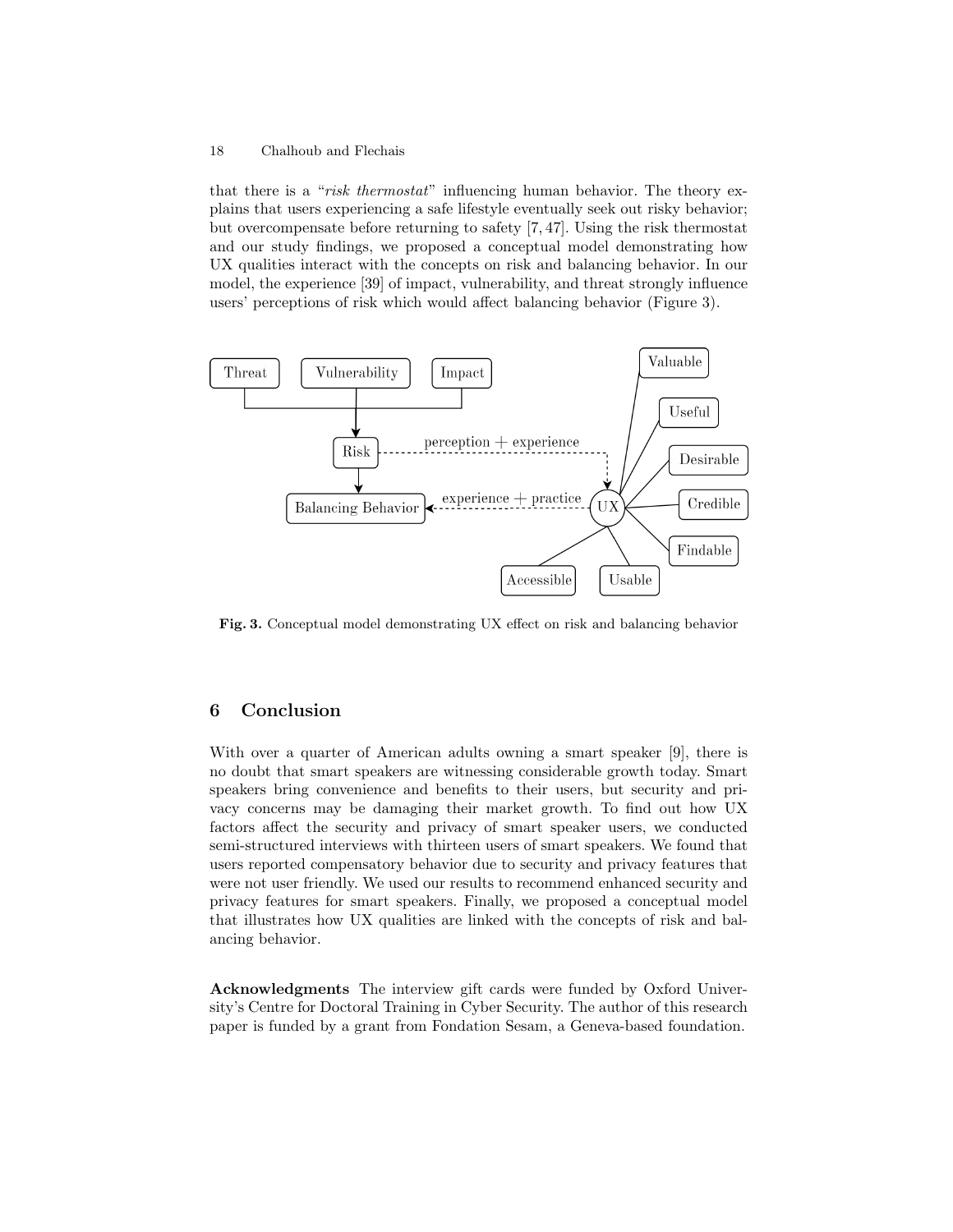that there is a "risk thermostat" influencing human behavior. The theory explains that users experiencing a safe lifestyle eventually seek out risky behavior; but overcompensate before returning to safety [7, 47]. Using the risk thermostat and our study findings, we proposed a conceptual model demonstrating how UX qualities interact with the concepts on risk and balancing behavior. In our model, the experience [39] of impact, vulnerability, and threat strongly influence users' perceptions of risk which would affect balancing behavior (Figure 3).



Fig. 3. Conceptual model demonstrating UX effect on risk and balancing behavior

# 6 Conclusion

With over a quarter of American adults owning a smart speaker [9], there is no doubt that smart speakers are witnessing considerable growth today. Smart speakers bring convenience and benefits to their users, but security and privacy concerns may be damaging their market growth. To find out how UX factors affect the security and privacy of smart speaker users, we conducted semi-structured interviews with thirteen users of smart speakers. We found that users reported compensatory behavior due to security and privacy features that were not user friendly. We used our results to recommend enhanced security and privacy features for smart speakers. Finally, we proposed a conceptual model that illustrates how UX qualities are linked with the concepts of risk and balancing behavior.

Acknowledgments The interview gift cards were funded by Oxford University's Centre for Doctoral Training in Cyber Security. The author of this research paper is funded by a grant from Fondation Sesam, a Geneva-based foundation.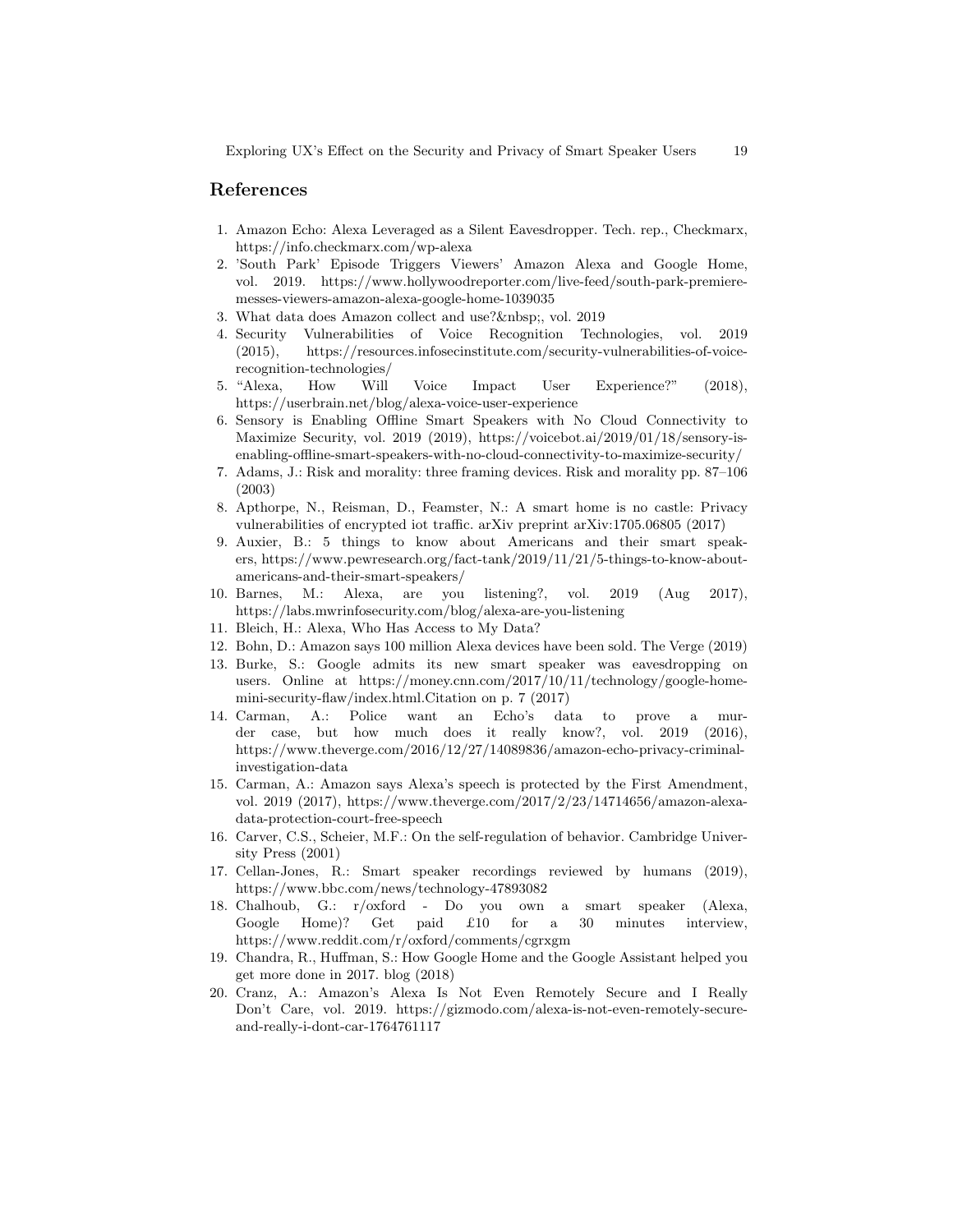# References

- 1. Amazon Echo: Alexa Leveraged as a Silent Eavesdropper. Tech. rep., Checkmarx, https://info.checkmarx.com/wp-alexa
- 2. 'South Park' Episode Triggers Viewers' Amazon Alexa and Google Home, vol. 2019. https://www.hollywoodreporter.com/live-feed/south-park-premieremesses-viewers-amazon-alexa-google-home-1039035
- 3. What data does Amazon collect and use?  $k$ nbsp:, vol. 2019
- 4. Security Vulnerabilities of Voice Recognition Technologies, vol. 2019 (2015), https://resources.infosecinstitute.com/security-vulnerabilities-of-voicerecognition-technologies/
- 5. "Alexa, How Will Voice Impact User Experience?" (2018), https://userbrain.net/blog/alexa-voice-user-experience
- 6. Sensory is Enabling Offline Smart Speakers with No Cloud Connectivity to Maximize Security, vol. 2019 (2019), https://voicebot.ai/2019/01/18/sensory-isenabling-offline-smart-speakers-with-no-cloud-connectivity-to-maximize-security/
- 7. Adams, J.: Risk and morality: three framing devices. Risk and morality pp. 87–106 (2003)
- 8. Apthorpe, N., Reisman, D., Feamster, N.: A smart home is no castle: Privacy vulnerabilities of encrypted iot traffic. arXiv preprint arXiv:1705.06805 (2017)
- 9. Auxier, B.: 5 things to know about Americans and their smart speakers, https://www.pewresearch.org/fact-tank/2019/11/21/5-things-to-know-aboutamericans-and-their-smart-speakers/
- 10. Barnes, M.: Alexa, are you listening?, vol. 2019 (Aug 2017), https://labs.mwrinfosecurity.com/blog/alexa-are-you-listening
- 11. Bleich, H.: Alexa, Who Has Access to My Data?
- 12. Bohn, D.: Amazon says 100 million Alexa devices have been sold. The Verge (2019)
- 13. Burke, S.: Google admits its new smart speaker was eavesdropping on users. Online at https://money.cnn.com/2017/10/11/technology/google-homemini-security-flaw/index.html.Citation on p. 7 (2017)
- 14. Carman, A.: Police want an Echo's data to prove a murder case, but how much does it really know?, vol. 2019 (2016), https://www.theverge.com/2016/12/27/14089836/amazon-echo-privacy-criminalinvestigation-data
- 15. Carman, A.: Amazon says Alexa's speech is protected by the First Amendment, vol. 2019 (2017), https://www.theverge.com/2017/2/23/14714656/amazon-alexadata-protection-court-free-speech
- 16. Carver, C.S., Scheier, M.F.: On the self-regulation of behavior. Cambridge University Press (2001)
- 17. Cellan-Jones, R.: Smart speaker recordings reviewed by humans (2019), https://www.bbc.com/news/technology-47893082
- 18. Chalhoub, G.: r/oxford Do you own a smart speaker (Alexa, Google Home)? Get paid £10 for a 30 minutes interview, https://www.reddit.com/r/oxford/comments/cgrxgm
- 19. Chandra, R., Huffman, S.: How Google Home and the Google Assistant helped you get more done in 2017. blog (2018)
- 20. Cranz, A.: Amazon's Alexa Is Not Even Remotely Secure and I Really Don't Care, vol. 2019. https://gizmodo.com/alexa-is-not-even-remotely-secureand-really-i-dont-car-1764761117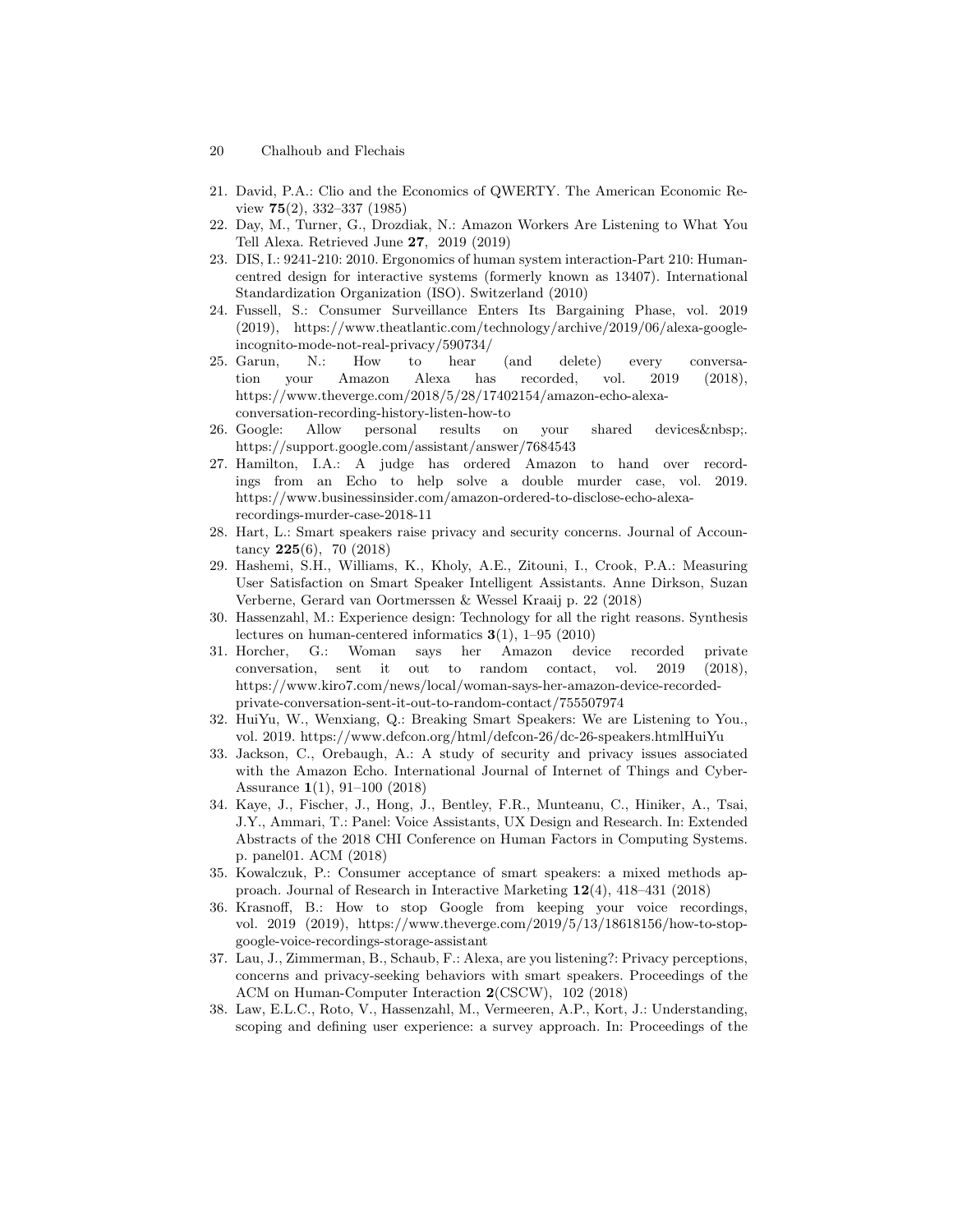- 20 Chalhoub and Flechais
- 21. David, P.A.: Clio and the Economics of QWERTY. The American Economic Review 75(2), 332–337 (1985)
- 22. Day, M., Turner, G., Drozdiak, N.: Amazon Workers Are Listening to What You Tell Alexa. Retrieved June 27, 2019 (2019)
- 23. DIS, I.: 9241-210: 2010. Ergonomics of human system interaction-Part 210: Humancentred design for interactive systems (formerly known as 13407). International Standardization Organization (ISO). Switzerland (2010)
- 24. Fussell, S.: Consumer Surveillance Enters Its Bargaining Phase, vol. 2019 (2019), https://www.theatlantic.com/technology/archive/2019/06/alexa-googleincognito-mode-not-real-privacy/590734/
- 25. Garun, N.: How to hear (and delete) every conversation your Amazon Alexa has recorded, vol. 2019 (2018), https://www.theverge.com/2018/5/28/17402154/amazon-echo-alexaconversation-recording-history-listen-how-to
- 26. Google: Allow personal results on your shared devices . https://support.google.com/assistant/answer/7684543
- 27. Hamilton, I.A.: A judge has ordered Amazon to hand over recordings from an Echo to help solve a double murder case, vol. 2019. https://www.businessinsider.com/amazon-ordered-to-disclose-echo-alexarecordings-murder-case-2018-11
- 28. Hart, L.: Smart speakers raise privacy and security concerns. Journal of Accoun- $\text{tancy } 225(6), 70 (2018)$
- 29. Hashemi, S.H., Williams, K., Kholy, A.E., Zitouni, I., Crook, P.A.: Measuring User Satisfaction on Smart Speaker Intelligent Assistants. Anne Dirkson, Suzan Verberne, Gerard van Oortmerssen & Wessel Kraaij p. 22 (2018)
- 30. Hassenzahl, M.: Experience design: Technology for all the right reasons. Synthesis lectures on human-centered informatics 3(1), 1–95 (2010)
- 31. Horcher, G.: Woman says her Amazon device recorded private conversation, sent it out to random contact, vol. 2019 (2018), https://www.kiro7.com/news/local/woman-says-her-amazon-device-recordedprivate-conversation-sent-it-out-to-random-contact/755507974
- 32. HuiYu, W., Wenxiang, Q.: Breaking Smart Speakers: We are Listening to You., vol. 2019. https://www.defcon.org/html/defcon-26/dc-26-speakers.htmlHuiYu
- 33. Jackson, C., Orebaugh, A.: A study of security and privacy issues associated with the Amazon Echo. International Journal of Internet of Things and Cyber-Assurance 1(1), 91–100 (2018)
- 34. Kaye, J., Fischer, J., Hong, J., Bentley, F.R., Munteanu, C., Hiniker, A., Tsai, J.Y., Ammari, T.: Panel: Voice Assistants, UX Design and Research. In: Extended Abstracts of the 2018 CHI Conference on Human Factors in Computing Systems. p. panel01. ACM (2018)
- 35. Kowalczuk, P.: Consumer acceptance of smart speakers: a mixed methods approach. Journal of Research in Interactive Marketing 12(4), 418–431 (2018)
- 36. Krasnoff, B.: How to stop Google from keeping your voice recordings, vol. 2019 (2019), https://www.theverge.com/2019/5/13/18618156/how-to-stopgoogle-voice-recordings-storage-assistant
- 37. Lau, J., Zimmerman, B., Schaub, F.: Alexa, are you listening?: Privacy perceptions, concerns and privacy-seeking behaviors with smart speakers. Proceedings of the ACM on Human-Computer Interaction 2(CSCW), 102 (2018)
- 38. Law, E.L.C., Roto, V., Hassenzahl, M., Vermeeren, A.P., Kort, J.: Understanding, scoping and defining user experience: a survey approach. In: Proceedings of the